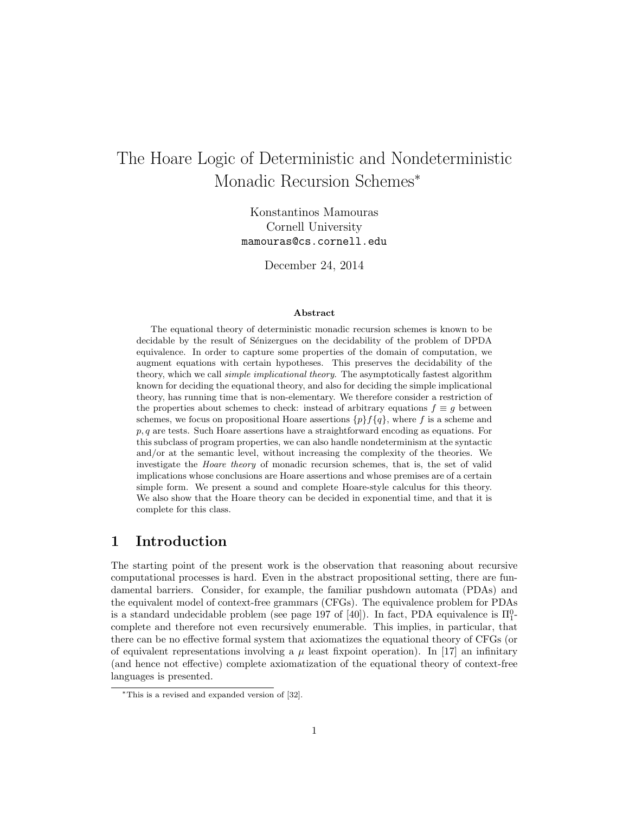# The Hoare Logic of Deterministic and Nondeterministic Monadic Recursion Schemes<sup>∗</sup>

Konstantinos Mamouras Cornell University mamouras@cs.cornell.edu

December 24, 2014

#### Abstract

The equational theory of deterministic monadic recursion schemes is known to be decidable by the result of Sénizergues on the decidability of the problem of DPDA equivalence. In order to capture some properties of the domain of computation, we augment equations with certain hypotheses. This preserves the decidability of the theory, which we call *simple implicational theory*. The asymptotically fastest algorithm known for deciding the equational theory, and also for deciding the simple implicational theory, has running time that is non-elementary. We therefore consider a restriction of the properties about schemes to check: instead of arbitrary equations  $f \equiv g$  between schemes, we focus on propositional Hoare assertions  $\{p\}f\{q\}$ , where f is a scheme and  $p, q$  are tests. Such Hoare assertions have a straightforward encoding as equations. For this subclass of program properties, we can also handle nondeterminism at the syntactic and/or at the semantic level, without increasing the complexity of the theories. We investigate the Hoare theory of monadic recursion schemes, that is, the set of valid implications whose conclusions are Hoare assertions and whose premises are of a certain simple form. We present a sound and complete Hoare-style calculus for this theory. We also show that the Hoare theory can be decided in exponential time, and that it is complete for this class.

# 1 Introduction

The starting point of the present work is the observation that reasoning about recursive computational processes is hard. Even in the abstract propositional setting, there are fundamental barriers. Consider, for example, the familiar pushdown automata (PDAs) and the equivalent model of context-free grammars (CFGs). The equivalence problem for PDAs is a standard undecidable problem (see page 197 of [40]). In fact, PDA equivalence is  $\Pi_1^0$ complete and therefore not even recursively enumerable. This implies, in particular, that there can be no effective formal system that axiomatizes the equational theory of CFGs (or of equivalent representations involving a  $\mu$  least fixpoint operation). In [17] an infinitary (and hence not effective) complete axiomatization of the equational theory of context-free languages is presented.

<sup>∗</sup>This is a revised and expanded version of [32].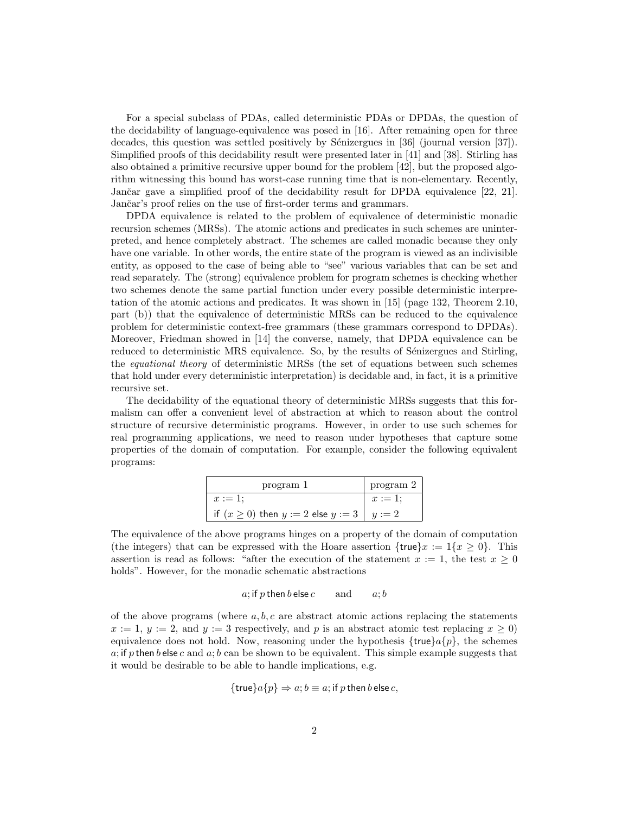For a special subclass of PDAs, called deterministic PDAs or DPDAs, the question of the decidability of language-equivalence was posed in [16]. After remaining open for three decades, this question was settled positively by Sénizergues in  $[36]$  (journal version  $[37]$ ). Simplified proofs of this decidability result were presented later in [41] and [38]. Stirling has also obtained a primitive recursive upper bound for the problem [42], but the proposed algorithm witnessing this bound has worst-case running time that is non-elementary. Recently, Jančar gave a simplified proof of the decidability result for DPDA equivalence [22, 21]. Jančar's proof relies on the use of first-order terms and grammars.

DPDA equivalence is related to the problem of equivalence of deterministic monadic recursion schemes (MRSs). The atomic actions and predicates in such schemes are uninterpreted, and hence completely abstract. The schemes are called monadic because they only have one variable. In other words, the entire state of the program is viewed as an indivisible entity, as opposed to the case of being able to "see" various variables that can be set and read separately. The (strong) equivalence problem for program schemes is checking whether two schemes denote the same partial function under every possible deterministic interpretation of the atomic actions and predicates. It was shown in [15] (page 132, Theorem 2.10, part (b)) that the equivalence of deterministic MRSs can be reduced to the equivalence problem for deterministic context-free grammars (these grammars correspond to DPDAs). Moreover, Friedman showed in [14] the converse, namely, that DPDA equivalence can be reduced to deterministic MRS equivalence. So, by the results of Sénizergues and Stirling, the equational theory of deterministic MRSs (the set of equations between such schemes that hold under every deterministic interpretation) is decidable and, in fact, it is a primitive recursive set.

The decidability of the equational theory of deterministic MRSs suggests that this formalism can offer a convenient level of abstraction at which to reason about the control structure of recursive deterministic programs. However, in order to use such schemes for real programming applications, we need to reason under hypotheses that capture some properties of the domain of computation. For example, consider the following equivalent programs:

| program 1                                           | program 2 |
|-----------------------------------------------------|-----------|
| $x := 1$ ;                                          | $x:=1$ :  |
| if $(x \ge 0)$ then $y := 2$ else $y := 3   y := 2$ |           |

The equivalence of the above programs hinges on a property of the domain of computation (the integers) that can be expressed with the Hoare assertion  $\{\text{true}\}\,x := 1\{x \geq 0\}$ . This assertion is read as follows: "after the execution of the statement  $x := 1$ , the test  $x \ge 0$ holds". However, for the monadic schematic abstractions

$$
a; \text{if } p \text{ then } b \text{ else } c \qquad \text{and} \qquad a; b
$$

of the above programs (where  $a, b, c$  are abstract atomic actions replacing the statements  $x := 1, y := 2$ , and  $y := 3$  respectively, and p is an abstract atomic test replacing  $x \ge 0$ ) equivalence does not hold. Now, reasoning under the hypothesis  $\{\text{true}\}\text{a}\{p\}$ , the schemes a; if p then b else c and a; b can be shown to be equivalent. This simple example suggests that it would be desirable to be able to handle implications, e.g.

$$
{\rm true} \} a \{ p \} \Rightarrow a; b \equiv a; \text{ if } p \text{ then } b \text{ else } c,
$$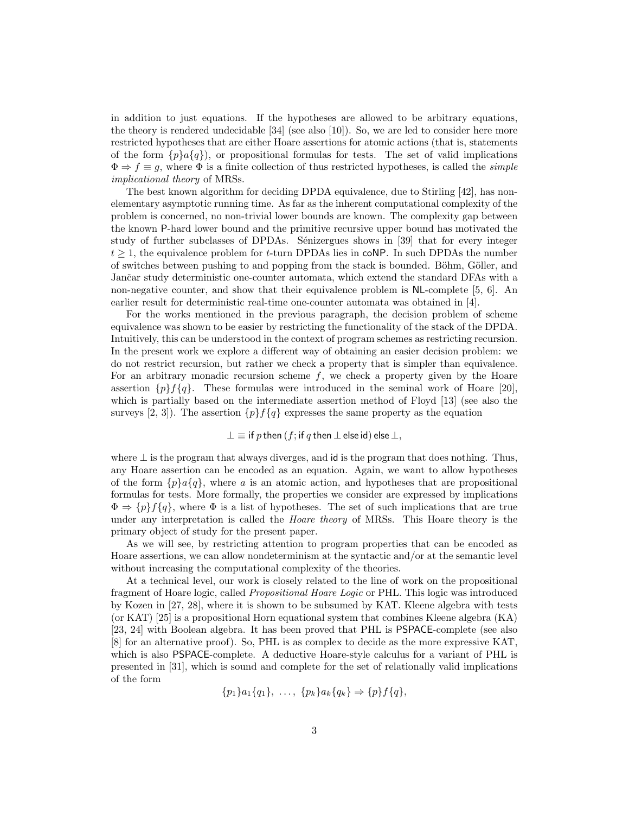in addition to just equations. If the hypotheses are allowed to be arbitrary equations, the theory is rendered undecidable [34] (see also [10]). So, we are led to consider here more restricted hypotheses that are either Hoare assertions for atomic actions (that is, statements of the form  $\{p\}a\{q\}$ , or propositional formulas for tests. The set of valid implications  $\Phi \Rightarrow f \equiv g$ , where  $\Phi$  is a finite collection of thus restricted hypotheses, is called the *simple* implicational theory of MRSs.

The best known algorithm for deciding DPDA equivalence, due to Stirling [42], has nonelementary asymptotic running time. As far as the inherent computational complexity of the problem is concerned, no non-trivial lower bounds are known. The complexity gap between the known P-hard lower bound and the primitive recursive upper bound has motivated the study of further subclasses of DPDAs. Sénizergues shows in [39] that for every integer  $t \geq 1$ , the equivalence problem for t-turn DPDAs lies in coNP. In such DPDAs the number of switches between pushing to and popping from the stack is bounded. Böhm, Göller, and Jančar study deterministic one-counter automata, which extend the standard DFAs with a non-negative counter, and show that their equivalence problem is NL-complete [5, 6]. An earlier result for deterministic real-time one-counter automata was obtained in [4].

For the works mentioned in the previous paragraph, the decision problem of scheme equivalence was shown to be easier by restricting the functionality of the stack of the DPDA. Intuitively, this can be understood in the context of program schemes as restricting recursion. In the present work we explore a different way of obtaining an easier decision problem: we do not restrict recursion, but rather we check a property that is simpler than equivalence. For an arbitrary monadic recursion scheme  $f$ , we check a property given by the Hoare assertion  $\{p\}f\{q\}$ . These formulas were introduced in the seminal work of Hoare [20], which is partially based on the intermediate assertion method of Floyd [13] (see also the surveys [2, 3]). The assertion  $\{p\}f\{q\}$  expresses the same property as the equation

## $\perp \equiv$  if p then  $(f;$  if q then  $\perp$  else id) else  $\perp$ ,

where  $\perp$  is the program that always diverges, and id is the program that does nothing. Thus, any Hoare assertion can be encoded as an equation. Again, we want to allow hypotheses of the form  $\{p\}a\{q\}$ , where a is an atomic action, and hypotheses that are propositional formulas for tests. More formally, the properties we consider are expressed by implications  $\Phi \Rightarrow \{p\} f\{q\}$ , where  $\Phi$  is a list of hypotheses. The set of such implications that are true under any interpretation is called the *Hoare theory* of MRSs. This Hoare theory is the primary object of study for the present paper.

As we will see, by restricting attention to program properties that can be encoded as Hoare assertions, we can allow nondeterminism at the syntactic and/or at the semantic level without increasing the computational complexity of the theories.

At a technical level, our work is closely related to the line of work on the propositional fragment of Hoare logic, called Propositional Hoare Logic or PHL. This logic was introduced by Kozen in [27, 28], where it is shown to be subsumed by KAT. Kleene algebra with tests (or KAT) [25] is a propositional Horn equational system that combines Kleene algebra (KA) [23, 24] with Boolean algebra. It has been proved that PHL is PSPACE-complete (see also [8] for an alternative proof). So, PHL is as complex to decide as the more expressive KAT, which is also PSPACE-complete. A deductive Hoare-style calculus for a variant of PHL is presented in [31], which is sound and complete for the set of relationally valid implications of the form

$$
\{p_1\}a_1\{q_1\},\ \ldots,\ \{p_k\}a_k\{q_k\} \Rightarrow \{p\}f\{q\},\
$$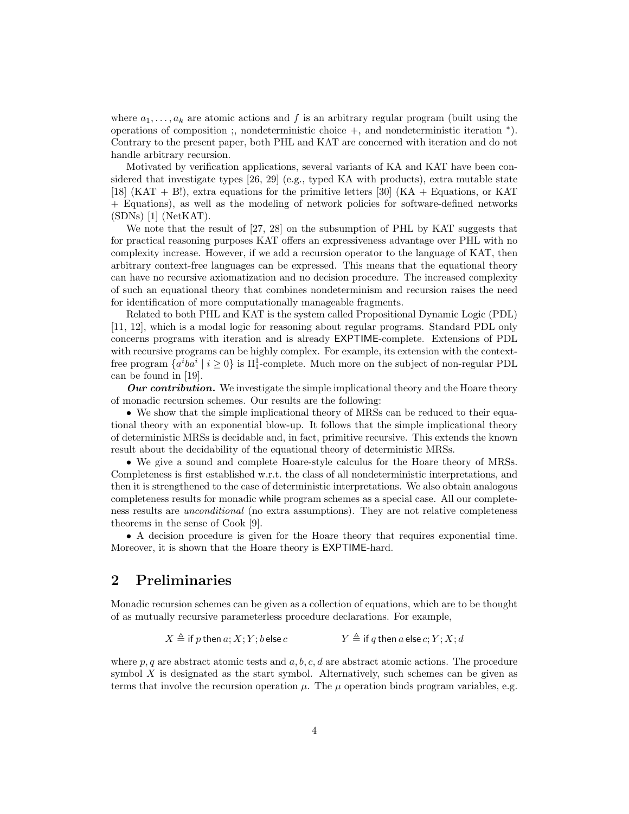where  $a_1, \ldots, a_k$  are atomic actions and f is an arbitrary regular program (built using the operations of composition ;, nondeterministic choice +, and nondeterministic iteration <sup>∗</sup> ). Contrary to the present paper, both PHL and KAT are concerned with iteration and do not handle arbitrary recursion.

Motivated by verification applications, several variants of KA and KAT have been considered that investigate types [26, 29] (e.g., typed KA with products), extra mutable state [18] (KAT + B!), extra equations for the primitive letters [30] (KA + Equations, or KAT + Equations), as well as the modeling of network policies for software-defined networks (SDNs) [1] (NetKAT).

We note that the result of [27, 28] on the subsumption of PHL by KAT suggests that for practical reasoning purposes KAT offers an expressiveness advantage over PHL with no complexity increase. However, if we add a recursion operator to the language of KAT, then arbitrary context-free languages can be expressed. This means that the equational theory can have no recursive axiomatization and no decision procedure. The increased complexity of such an equational theory that combines nondeterminism and recursion raises the need for identification of more computationally manageable fragments.

Related to both PHL and KAT is the system called Propositional Dynamic Logic (PDL) [11, 12], which is a modal logic for reasoning about regular programs. Standard PDL only concerns programs with iteration and is already EXPTIME-complete. Extensions of PDL with recursive programs can be highly complex. For example, its extension with the contextfree program  $\{a^iba^i \mid i \geq 0\}$  is  $\Pi_1^1$ -complete. Much more on the subject of non-regular PDL can be found in [19].

**Our contribution.** We investigate the simple implicational theory and the Hoare theory of monadic recursion schemes. Our results are the following:

• We show that the simple implicational theory of MRSs can be reduced to their equational theory with an exponential blow-up. It follows that the simple implicational theory of deterministic MRSs is decidable and, in fact, primitive recursive. This extends the known result about the decidability of the equational theory of deterministic MRSs.

• We give a sound and complete Hoare-style calculus for the Hoare theory of MRSs. Completeness is first established w.r.t. the class of all nondeterministic interpretations, and then it is strengthened to the case of deterministic interpretations. We also obtain analogous completeness results for monadic while program schemes as a special case. All our completeness results are unconditional (no extra assumptions). They are not relative completeness theorems in the sense of Cook [9].

• A decision procedure is given for the Hoare theory that requires exponential time. Moreover, it is shown that the Hoare theory is EXPTIME-hard.

## 2 Preliminaries

Monadic recursion schemes can be given as a collection of equations, which are to be thought of as mutually recursive parameterless procedure declarations. For example,

$$
X \triangleq \text{if } p \text{ then } a; X; Y; b \text{ else } c \qquad \qquad Y \triangleq \text{if } q \text{ then } a \text{ else } c; Y; X; d
$$

where  $p, q$  are abstract atomic tests and  $a, b, c, d$  are abstract atomic actions. The procedure symbol  $X$  is designated as the start symbol. Alternatively, such schemes can be given as terms that involve the recursion operation  $\mu$ . The  $\mu$  operation binds program variables, e.g.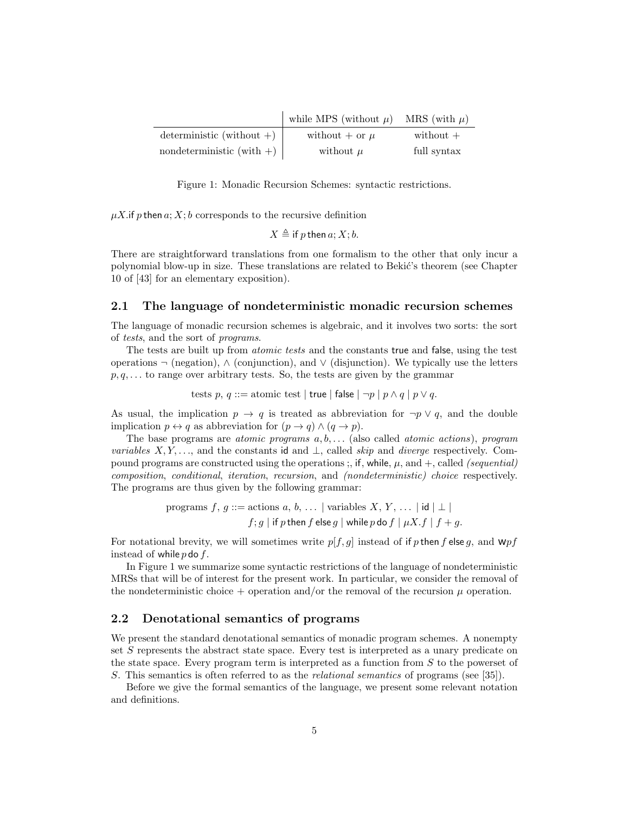|                             | while MPS (without $\mu$ ) | MRS (with $\mu$ ) |
|-----------------------------|----------------------------|-------------------|
| deterministic (without $+)$ | without + or $\mu$         | without $+$       |
| nondeterministic (with $+)$ | without $\mu$              | full syntax       |

Figure 1: Monadic Recursion Schemes: syntactic restrictions.

 $\mu X$ . if p then  $a; X; b$  corresponds to the recursive definition

$$
X \triangleq \text{if } p \text{ then } a; X; b.
$$

There are straightforward translations from one formalism to the other that only incur a polynomial blow-up in size. These translations are related to Bekić's theorem (see Chapter 10 of [43] for an elementary exposition).

#### 2.1 The language of nondeterministic monadic recursion schemes

The language of monadic recursion schemes is algebraic, and it involves two sorts: the sort of tests, and the sort of programs.

The tests are built up from atomic tests and the constants true and false, using the test operations ¬ (negation), ∧ (conjunction), and ∨ (disjunction). We typically use the letters  $p, q, \ldots$  to range over arbitrary tests. So, the tests are given by the grammar

tests p, q ::= atomic test | true | false  $|\neg p| p \wedge q | p \vee q$ .

As usual, the implication  $p \to q$  is treated as abbreviation for  $\neg p \lor q$ , and the double implication  $p \leftrightarrow q$  as abbreviation for  $(p \rightarrow q) \land (q \rightarrow p)$ .

The base programs are *atomic programs*  $a, b, \ldots$  (also called *atomic actions*), program variables  $X, Y, \ldots$ , and the constants id and  $\perp$ , called skip and diverge respectively. Compound programs are constructed using the operations; if, while,  $\mu$ , and  $+$ , called *(sequential)* composition, conditional, iteration, recursion, and (nondeterministic) choice respectively. The programs are thus given by the following grammar:

> programs f, g ::= actions a, b, ... | variables  $X, Y, \ldots$  | id  $|\perp|$  $f$ ;  $q$  | if p then f else  $q$  | while p do  $f$  |  $\mu X.f$  |  $f + q$ .

For notational brevity, we will sometimes write  $p[f,g]$  instead of if p then f else g, and  $Wpf$ instead of while  $p$  do  $f$ .

In Figure 1 we summarize some syntactic restrictions of the language of nondeterministic MRSs that will be of interest for the present work. In particular, we consider the removal of the nondeterministic choice + operation and/or the removal of the recursion  $\mu$  operation.

### 2.2 Denotational semantics of programs

We present the standard denotational semantics of monadic program schemes. A nonempty set S represents the abstract state space. Every test is interpreted as a unary predicate on the state space. Every program term is interpreted as a function from S to the powerset of S. This semantics is often referred to as the *relational semantics* of programs (see [35]).

Before we give the formal semantics of the language, we present some relevant notation and definitions.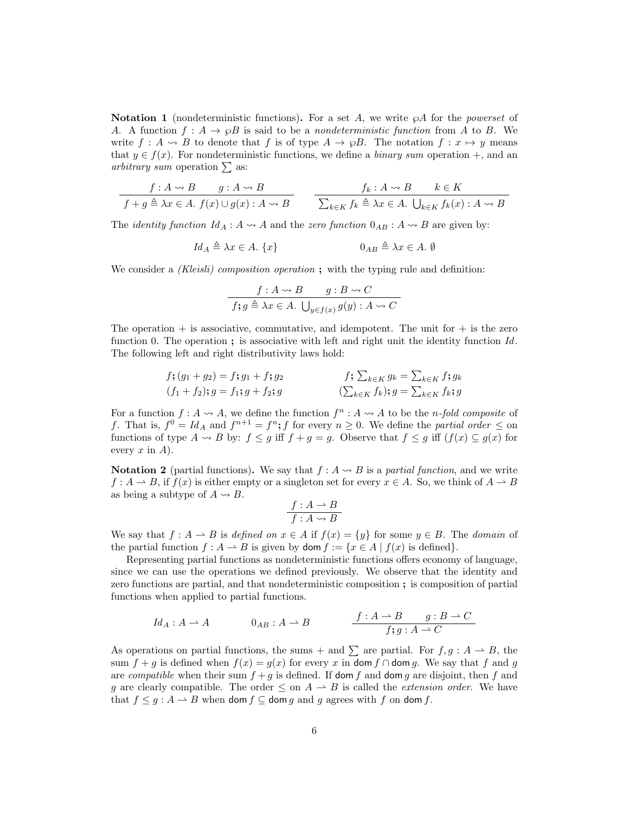**Notation 1** (nondeterministic functions). For a set A, we write  $\wp A$  for the *powerset* of A. A function  $f : A \to \varphi B$  is said to be a *nondeterministic function* from A to B. We write  $f : A \leadsto B$  to denote that f is of type  $A \rightarrow \varphi B$ . The notation  $f : x \mapsto y$  means that  $y \in f(x)$ . For nondeterministic functions, we define a *binary sum* operation +, and an arbitrary sum operation  $\sum$  as:

$$
\frac{f: A \rightsquigarrow B \qquad g: A \rightsquigarrow B \qquad f_k: A \rightsquigarrow B \qquad k \in K
$$
  

$$
f + g \triangleq \lambda x \in A. \ f(x) \cup g(x): A \rightsquigarrow B \qquad \sum_{k \in K} f_k \triangleq \lambda x \in A. \ \bigcup_{k \in K} f_k(x): A \rightsquigarrow B
$$

The *identity function*  $Id_A : A \rightarrow A$  and the zero function  $0_{AB} : A \rightarrow B$  are given by:

$$
Id_A \triangleq \lambda x \in A. \ \{x\} \qquad \qquad 0_{AB} \triangleq \lambda x \in A. \ \emptyset
$$

We consider a *(Kleisli) composition operation*; with the typing rule and definition:

$$
f: A \rightsquigarrow B \qquad g: B \rightsquigarrow C
$$
  

$$
f; g \triangleq \lambda x \in A. \bigcup_{y \in f(x)} g(y) : A \rightsquigarrow C
$$

The operation  $+$  is associative, commutative, and idempotent. The unit for  $+$  is the zero function 0. The operation; is associative with left and right unit the identity function Id. The following left and right distributivity laws hold:

$$
f; (g_1 + g_2) = f; g_1 + f; g_2
$$
  
\n
$$
(f_1 + f_2); g = f_1; g + f_2; g
$$
  
\n
$$
( \sum_{k \in K} f_k); g = \sum_{k \in K} f; g_k
$$
  
\n
$$
( \sum_{k \in K} f_k); g = \sum_{k \in K} f_k; g_k
$$

For a function  $f: A \rightarrow A$ , we define the function  $f^n: A \rightarrow A$  to be the *n-fold composite* of f. That is,  $f^0 = Id_A$  and  $f^{n+1} = f^n$ ; f for every  $n \ge 0$ . We define the partial order  $\le$  on functions of type  $A \rightsquigarrow B$  by:  $f \le g$  iff  $f + g = g$ . Observe that  $f \le g$  iff  $(f(x) \subseteq g(x))$  for every  $x$  in  $A$ ).

**Notation 2** (partial functions). We say that  $f : A \rightarrow B$  is a partial function, and we write  $f: A \to B$ , if  $f(x)$  is either empty or a singleton set for every  $x \in A$ . So, we think of  $A \to B$ as being a subtype of  $A \rightarrow B$ .

$$
\frac{f:A \to B}{f:A \leadsto B}
$$

We say that  $f : A \to B$  is defined on  $x \in A$  if  $f(x) = \{y\}$  for some  $y \in B$ . The domain of the partial function  $f : A \to B$  is given by dom  $f := \{x \in A \mid f(x)$  is defined.

Representing partial functions as nondeterministic functions offers economy of language, since we can use the operations we defined previously. We observe that the identity and zero functions are partial, and that nondeterministic composition ; is composition of partial functions when applied to partial functions.

$$
Id_A: A \rightharpoonup A \qquad \qquad 0_{AB}: A \rightharpoonup B \qquad \qquad \frac{f: A \rightharpoonup B \qquad g: B \rightharpoonup C}{f; g: A \rightharpoonup C}
$$

As operations on partial functions, the sums + and  $\sum$  are partial. For  $f, g : A \to B$ , the sum  $f + g$  is defined when  $f(x) = g(x)$  for every x in dom f ∩ dom g. We say that f and g are compatible when their sum  $f + q$  is defined. If dom f and dom q are disjoint, then f and g are clearly compatible. The order  $\leq$  on  $A \to B$  is called the *extension order*. We have that  $f \leq g : A \to B$  when dom  $f \subseteq$  dom g and g agrees with f on dom f.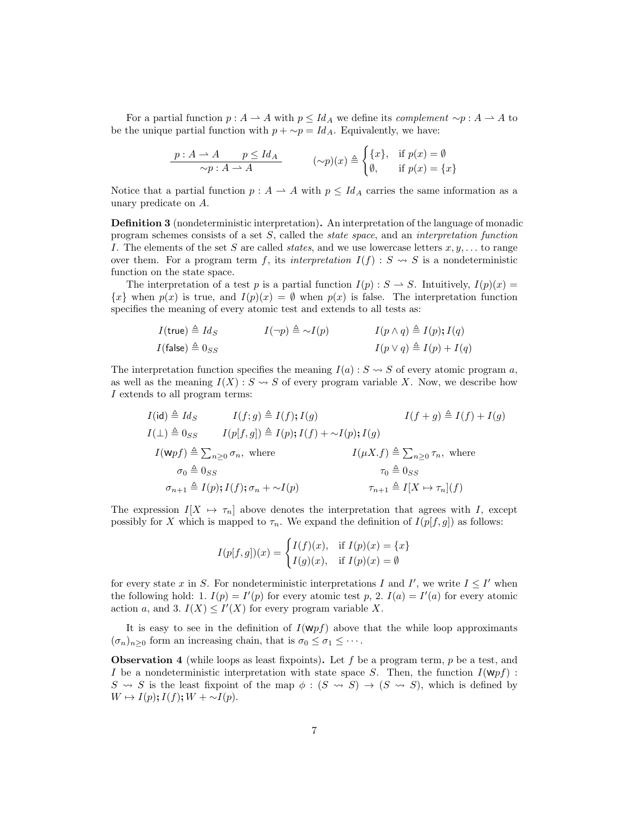For a partial function  $p : A \to A$  with  $p \leq Id_A$  we define its *complement*  $\sim p : A \to A$  to be the unique partial function with  $p + \sim p = Id_A$ . Equivalently, we have:

$$
\frac{p:A \to A \qquad p \le Id_A}{\sim p:A \to A} \qquad (\sim p)(x) \triangleq \begin{cases} \{x\}, & \text{if } p(x) = \emptyset \\ \emptyset, & \text{if } p(x) = \{x\} \end{cases}
$$

Notice that a partial function  $p : A \to A$  with  $p \leq Id_A$  carries the same information as a unary predicate on A.

Definition 3 (nondeterministic interpretation). An interpretation of the language of monadic program schemes consists of a set S, called the state space, and an interpretation function I. The elements of the set S are called *states*, and we use lowercase letters  $x, y, \ldots$  to range over them. For a program term f, its interpretation  $I(f)$ :  $S \rightsquigarrow S$  is a nondeterministic function on the state space.

The interpretation of a test p is a partial function  $I(p) : S \to S$ . Intuitively,  $I(p)(x) =$  ${x}$  when  $p(x)$  is true, and  $I(p)(x) = \emptyset$  when  $p(x)$  is false. The interpretation function specifies the meaning of every atomic test and extends to all tests as:

$$
I(\text{true}) \triangleq Id_S \qquad \qquad I(\neg p) \triangleq \sim I(p) \qquad \qquad I(p \land q) \triangleq I(p); I(q)
$$
  

$$
I(\text{false}) \triangleq 0_{SS} \qquad \qquad I(p \lor q) \triangleq I(p) + I(q)
$$

The interpretation function specifies the meaning  $I(a)$ :  $S \sim S$  of every atomic program a, as well as the meaning  $I(X)$ :  $S \rightarrow S$  of every program variable X. Now, we describe how I extends to all program terms:

$$
I(\text{id}) \triangleq Id_S \qquad I(f; g) \triangleq I(f); I(g) \qquad I(f + g) \triangleq I(f) + I(g)
$$
  
\n
$$
I(\perp) \triangleq 0_{SS} \qquad I(p[f, g]) \triangleq I(p); I(f) + \sim I(p); I(g)
$$
  
\n
$$
I(\mathbf{w}pf) \triangleq \sum_{n\geq 0} \sigma_n, \text{ where } \qquad I(\mu X.f) \triangleq \sum_{n\geq 0} \tau_n, \text{ where }
$$
  
\n
$$
\sigma_0 \triangleq 0_{SS} \qquad \qquad \tau_0 \triangleq 0_{SS}
$$
  
\n
$$
\sigma_{n+1} \triangleq I(p); I(f); \sigma_n + \sim I(p) \qquad \qquad \tau_{n+1} \triangleq I[X \mapsto \tau_n](f)
$$

The expression  $I[X \mapsto \tau_n]$  above denotes the interpretation that agrees with I, except possibly for X which is mapped to  $\tau_n$ . We expand the definition of  $I(p[f, g])$  as follows:

$$
I(p[f,g])(x) = \begin{cases} I(f)(x), & \text{if } I(p)(x) = \{x\} \\ I(g)(x), & \text{if } I(p)(x) = \emptyset \end{cases}
$$

for every state x in S. For nondeterministic interpretations I and I', we write  $I \leq I'$  when the following hold: 1.  $I(p) = I'(p)$  for every atomic test p, 2.  $I(a) = I'(a)$  for every atomic action a, and 3.  $I(X) \leq I'(X)$  for every program variable X.

It is easy to see in the definition of  $I(wpf)$  above that the while loop approximants  $(\sigma_n)_{n>0}$  form an increasing chain, that is  $\sigma_0 \leq \sigma_1 \leq \cdots$ .

**Observation 4** (while loops as least fixpoints). Let f be a program term,  $p$  be a test, and I be a nondeterministic interpretation with state space S. Then, the function  $I(\mathsf{w}pf)$ :  $S \rightsquigarrow S$  is the least fixpoint of the map  $\phi : (S \rightsquigarrow S) \rightarrow (S \rightsquigarrow S)$ , which is defined by  $W \mapsto I(p); I(f); W + \sim I(p).$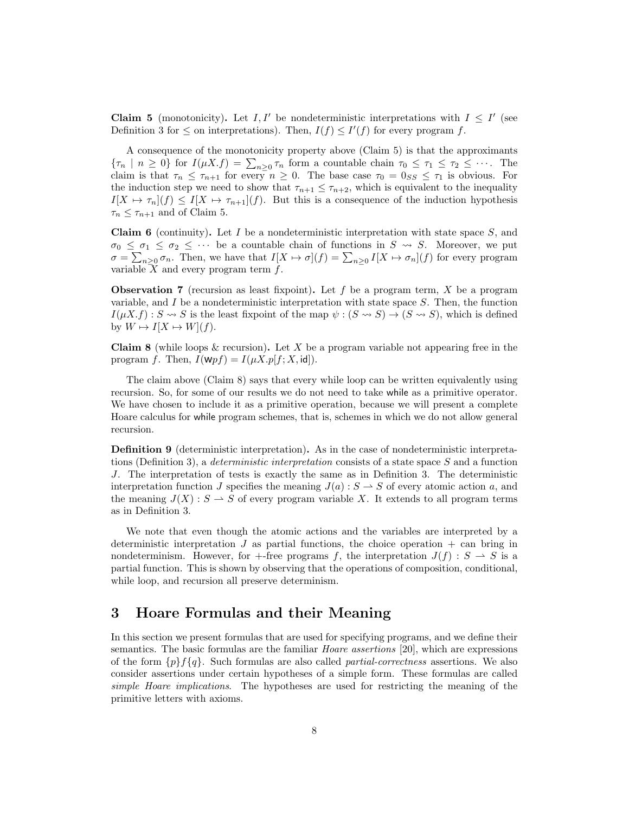**Claim 5** (monotonicity). Let I, I' be nondeterministic interpretations with  $I \leq I'$  (see Definition 3 for  $\leq$  on interpretations). Then,  $I(f) \leq I'(f)$  for every program f.

A consequence of the monotonicity property above (Claim 5) is that the approximants  $\{\tau_n \mid n \geq 0\}$  for  $I(\mu X.f) = \sum_{n \geq 0} \tau_n$  form a countable chain  $\tau_0 \leq \tau_1 \leq \tau_2 \leq \cdots$ . The claim is that  $\tau_n \leq \tau_{n+1}$  for every  $n \geq 0$ . The base case  $\tau_0 = 0_{SS} \leq \tau_1$  is obvious. For the induction step we need to show that  $\tau_{n+1} \leq \tau_{n+2}$ , which is equivalent to the inequality  $I[X \mapsto \tau_n](f) \leq I[X \mapsto \tau_{n+1}](f)$ . But this is a consequence of the induction hypothesis  $\tau_n \leq \tau_{n+1}$  and of Claim 5.

**Claim 6** (continuity). Let I be a nondeterministic interpretation with state space  $S$ , and  $\sigma_0 \leq \sigma_1 \leq \sigma_2 \leq \cdots$  be a countable chain of functions in  $S \rightsquigarrow S$ . Moreover, we put  $\sigma = \sum_{n\geq 0} \sigma_n$ . Then, we have that  $I[X \mapsto \sigma](f) = \sum_{n\geq 0} I[X \mapsto \sigma_n](f)$  for every program variable  $\overline{X}$  and every program term  $f$ .

**Observation 7** (recursion as least fixpoint). Let f be a program term, X be a program variable, and  $I$  be a nondeterministic interpretation with state space  $S$ . Then, the function  $I(\mu X.f): S \rightsquigarrow S$  is the least fixpoint of the map  $\psi : (S \rightsquigarrow S) \rightarrow (S \rightsquigarrow S)$ , which is defined by  $W \mapsto I[X \mapsto W](f)$ .

**Claim 8** (while loops  $\&$  recursion). Let X be a program variable not appearing free in the program f. Then,  $I(\mathsf{w}p f) = I(\mu X.p[f; X, id])$ .

The claim above (Claim 8) says that every while loop can be written equivalently using recursion. So, for some of our results we do not need to take while as a primitive operator. We have chosen to include it as a primitive operation, because we will present a complete Hoare calculus for while program schemes, that is, schemes in which we do not allow general recursion.

Definition 9 (deterministic interpretation). As in the case of nondeterministic interpretations (Definition 3), a *deterministic interpretation* consists of a state space  $S$  and a function J. The interpretation of tests is exactly the same as in Definition 3. The deterministic interpretation function J specifies the meaning  $J(a) : S \to S$  of every atomic action a, and the meaning  $J(X)$ :  $S \to S$  of every program variable X. It extends to all program terms as in Definition 3.

We note that even though the atomic actions and the variables are interpreted by a deterministic interpretation  $J$  as partial functions, the choice operation  $+$  can bring in nondeterminism. However, for  $+$ -free programs f, the interpretation  $J(f) : S \to S$  is a partial function. This is shown by observing that the operations of composition, conditional, while loop, and recursion all preserve determinism.

# 3 Hoare Formulas and their Meaning

In this section we present formulas that are used for specifying programs, and we define their semantics. The basic formulas are the familiar *Hoare assertions* [20], which are expressions of the form  $\{p\}f\{q\}$ . Such formulas are also called *partial-correctness* assertions. We also consider assertions under certain hypotheses of a simple form. These formulas are called simple Hoare implications. The hypotheses are used for restricting the meaning of the primitive letters with axioms.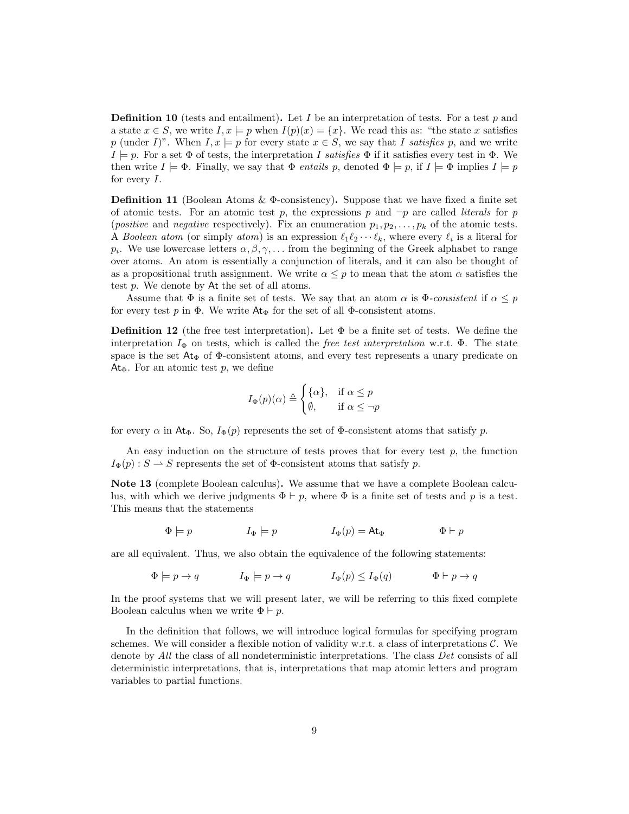**Definition 10** (tests and entailment). Let I be an interpretation of tests. For a test  $p$  and a state  $x \in S$ , we write  $I, x \models p$  when  $I(p)(x) = \{x\}$ . We read this as: "the state x satisfies p (under I)". When  $I, x \models p$  for every state  $x \in S$ , we say that I satisfies p, and we write  $I \models p$ . For a set  $\Phi$  of tests, the interpretation I satisfies  $\Phi$  if it satisfies every test in  $\Phi$ . We then write  $I \models \Phi$ . Finally, we say that  $\Phi$  entails p, denoted  $\Phi \models p$ , if  $I \models \Phi$  implies  $I \models p$ for every  $I$ .

**Definition 11** (Boolean Atoms &  $\Phi$ -consistency). Suppose that we have fixed a finite set of atomic tests. For an atomic test p, the expressions p and  $\neg p$  are called *literals* for p (*positive* and *negative* respectively). Fix an enumeration  $p_1, p_2, \ldots, p_k$  of the atomic tests. A Boolean atom (or simply atom) is an expression  $\ell_1 \ell_2 \cdots \ell_k$ , where every  $\ell_i$  is a literal for  $p_i$ . We use lowercase letters  $\alpha, \beta, \gamma, \ldots$  from the beginning of the Greek alphabet to range over atoms. An atom is essentially a conjunction of literals, and it can also be thought of as a propositional truth assignment. We write  $\alpha \leq p$  to mean that the atom  $\alpha$  satisfies the test p. We denote by At the set of all atoms.

Assume that  $\Phi$  is a finite set of tests. We say that an atom  $\alpha$  is  $\Phi$ -consistent if  $\alpha \leq p$ for every test p in  $\Phi$ . We write  $At_{\Phi}$  for the set of all  $\Phi$ -consistent atoms.

**Definition 12** (the free test interpretation). Let  $\Phi$  be a finite set of tests. We define the interpretation  $I_{\Phi}$  on tests, which is called the *free test interpretation* w.r.t.  $\Phi$ . The state space is the set  $At_{\Phi}$  of  $\Phi$ -consistent atoms, and every test represents a unary predicate on At<sub> $\Phi$ </sub>. For an atomic test p, we define

$$
I_{\Phi}(p)(\alpha) \triangleq \begin{cases} {\{\alpha\}}, & \text{if } \alpha \le p \\ \emptyset, & \text{if } \alpha \le -p \end{cases}
$$

for every  $\alpha$  in At<sub>Φ</sub>. So,  $I_{\Phi}(p)$  represents the set of  $\Phi$ -consistent atoms that satisfy p.

An easy induction on the structure of tests proves that for every test  $p$ , the function  $I_{\Phi}(p)$ :  $S \to S$  represents the set of  $\Phi$ -consistent atoms that satisfy p.

Note 13 (complete Boolean calculus). We assume that we have a complete Boolean calculus, with which we derive judgments  $\Phi \vdash p$ , where  $\Phi$  is a finite set of tests and p is a test. This means that the statements

$$
\Phi \models p \qquad \qquad I_{\Phi} \models p \qquad \qquad I_{\Phi}(p) = \mathsf{At}_{\Phi} \qquad \qquad \Phi \vdash p
$$

are all equivalent. Thus, we also obtain the equivalence of the following statements:

$$
\Phi \models p \rightarrow q \qquad \qquad I_{\Phi} \models p \rightarrow q \qquad \qquad I_{\Phi}(p) \leq I_{\Phi}(q) \qquad \qquad \Phi \vdash p \rightarrow q
$$

In the proof systems that we will present later, we will be referring to this fixed complete Boolean calculus when we write  $\Phi \vdash p$ .

In the definition that follows, we will introduce logical formulas for specifying program schemes. We will consider a flexible notion of validity w.r.t. a class of interpretations  $\mathcal{C}$ . We denote by All the class of all nondeterministic interpretations. The class Det consists of all deterministic interpretations, that is, interpretations that map atomic letters and program variables to partial functions.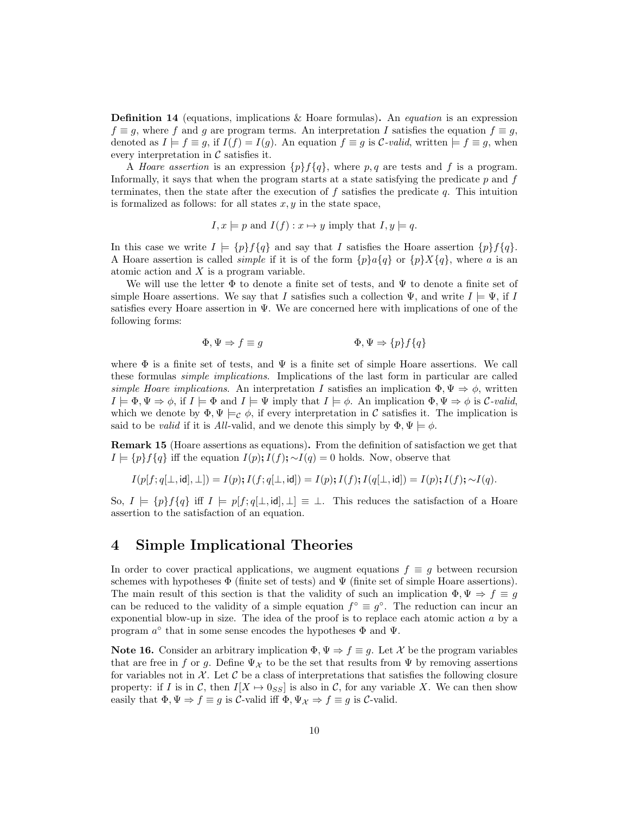Definition 14 (equations, implications & Hoare formulas). An equation is an expression  $f \equiv g$ , where f and g are program terms. An interpretation I satisfies the equation  $f \equiv g$ , denoted as  $I \models f \equiv g$ , if  $I(f) = I(g)$ . An equation  $f \equiv g$  is  $C$ -valid, written  $\models f \equiv g$ , when every interpretation in  $\mathcal C$  satisfies it.

A Hoare assertion is an expression  $\{p\}f\{q\}$ , where p, q are tests and f is a program. Informally, it says that when the program starts at a state satisfying the predicate  $p$  and  $f$ terminates, then the state after the execution of  $f$  satisfies the predicate  $q$ . This intuition is formalized as follows: for all states  $x, y$  in the state space,

$$
I, x \models p
$$
 and  $I(f): x \mapsto y$  imply that  $I, y \models q$ .

In this case we write  $I = \{p\} f\{q\}$  and say that I satisfies the Hoare assertion  $\{p\} f\{q\}$ . A Hoare assertion is called *simple* if it is of the form  ${p}a{q}$  or  ${p}X{q}$ , where a is an atomic action and  $X$  is a program variable.

We will use the letter  $\Phi$  to denote a finite set of tests, and  $\Psi$  to denote a finite set of simple Hoare assertions. We say that I satisfies such a collection  $\Psi$ , and write  $I \models \Psi$ , if I satisfies every Hoare assertion in  $\Psi$ . We are concerned here with implications of one of the following forms:

$$
\Phi, \Psi \Rightarrow f \equiv g \qquad \qquad \Phi, \Psi \Rightarrow \{p\} f \{q\}
$$

where  $\Phi$  is a finite set of tests, and  $\Psi$  is a finite set of simple Hoare assertions. We call these formulas *simple implications*. Implications of the last form in particular are called simple Hoare implications. An interpretation I satisfies an implication  $\Phi, \Psi \Rightarrow \phi$ , written  $I \models \Phi, \Psi \Rightarrow \phi$ , if  $I \models \Phi$  and  $I \models \Psi$  imply that  $I \models \phi$ . An implication  $\Phi, \Psi \Rightarrow \phi$  is  $\mathcal{C}\text{-}valid$ , which we denote by  $\Phi, \Psi \models_c \phi$ , if every interpretation in C satisfies it. The implication is said to be valid if it is All-valid, and we denote this simply by  $\Phi, \Psi \models \phi$ .

Remark 15 (Hoare assertions as equations). From the definition of satisfaction we get that  $I \models \{p\} f\{q\}$  iff the equation  $I(p); I(f); \sim I(q) = 0$  holds. Now, observe that

$$
I(p[f;q[\bot,\mathsf{id}],\bot]) = I(p); I(f;q[\bot,\mathsf{id}]) = I(p); I(f); I(q[\bot,\mathsf{id}]) = I(p); I(f); \mathord{\sim} I(q).
$$

So,  $I = \{p\}f\{q\}$  iff  $I = p[f; q[\perp, id], \perp] \equiv \perp$ . This reduces the satisfaction of a Hoare assertion to the satisfaction of an equation.

## 4 Simple Implicational Theories

In order to cover practical applications, we augment equations  $f \equiv g$  between recursion schemes with hypotheses  $\Phi$  (finite set of tests) and  $\Psi$  (finite set of simple Hoare assertions). The main result of this section is that the validity of such an implication  $\Phi, \Psi \Rightarrow f \equiv g$ can be reduced to the validity of a simple equation  $f^{\circ} \equiv g^{\circ}$ . The reduction can incur an exponential blow-up in size. The idea of the proof is to replace each atomic action a by a program  $a^{\circ}$  that in some sense encodes the hypotheses  $\Phi$  and  $\Psi$ .

Note 16. Consider an arbitrary implication  $\Phi, \Psi \Rightarrow f \equiv g$ . Let X be the program variables that are free in f or g. Define  $\Psi_{\mathcal{X}}$  to be the set that results from  $\Psi$  by removing assertions for variables not in  $\mathcal{X}$ . Let C be a class of interpretations that satisfies the following closure property: if I is in C, then  $I[X \mapsto 0_{SS}]$  is also in C, for any variable X. We can then show easily that  $\Phi, \Psi \Rightarrow f \equiv g$  is C-valid iff  $\Phi, \Psi_{\mathcal{X}} \Rightarrow f \equiv g$  is C-valid.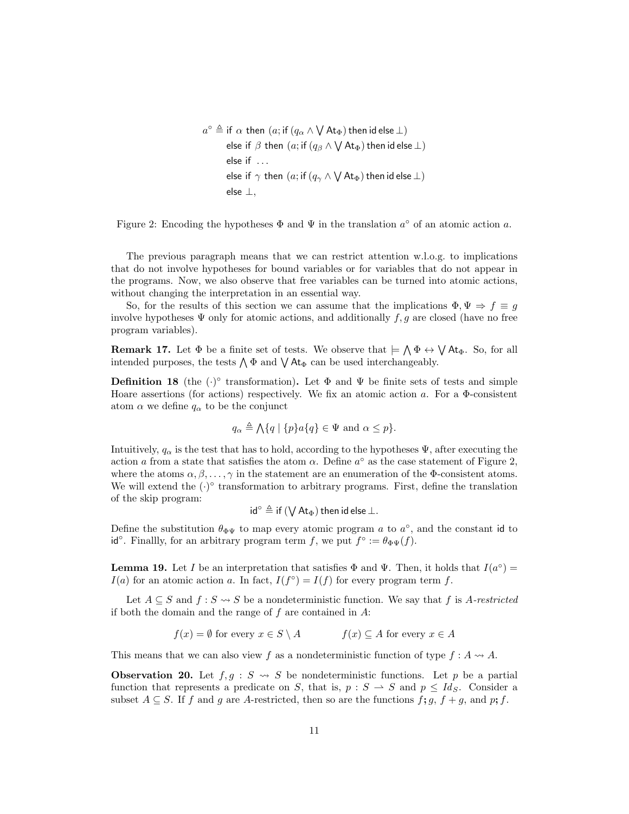$$
a^{\circ} \triangleq \text{if } \alpha \text{ then } (a; \text{if } (q_{\alpha} \land \bigvee \text{At}_{\Phi}) \text{ then } \text{id} \text{ else } \bot)
$$
\n
$$
\text{else if } \beta \text{ then } (a; \text{if } (q_{\beta} \land \bigvee \text{At}_{\Phi}) \text{ then } \text{id} \text{ else } \bot)
$$
\n
$$
\text{else if } \dots
$$
\n
$$
\text{else if } \gamma \text{ then } (a; \text{if } (q_{\gamma} \land \bigvee \text{At}_{\Phi}) \text{ then } \text{id} \text{ else } \bot)
$$
\n
$$
\text{else } \bot,
$$

Figure 2: Encoding the hypotheses  $\Phi$  and  $\Psi$  in the translation  $a^{\circ}$  of an atomic action a.

The previous paragraph means that we can restrict attention w.l.o.g. to implications that do not involve hypotheses for bound variables or for variables that do not appear in the programs. Now, we also observe that free variables can be turned into atomic actions, without changing the interpretation in an essential way.

So, for the results of this section we can assume that the implications  $\Phi, \Psi \Rightarrow f \equiv g$ involve hypotheses  $\Psi$  only for atomic actions, and additionally f, g are closed (have no free program variables).

**Remark 17.** Let  $\Phi$  be a finite set of tests. We observe that  $\models \bigwedge \Phi \leftrightarrow \bigvee \text{At}_{\Phi}$ . So, for all intended purposes, the tests  $\bigwedge \Phi$  and  $\bigvee$  At<sub> $\Phi$ </sub> can be used interchangeably.

**Definition 18** (the  $(\cdot)^\circ$  transformation). Let  $\Phi$  and  $\Psi$  be finite sets of tests and simple Hoare assertions (for actions) respectively. We fix an atomic action a. For a Φ-consistent atom  $\alpha$  we define  $q_{\alpha}$  to be the conjunct

$$
q_{\alpha} \triangleq \bigwedge \{q \mid \{p\}a\{q\} \in \Psi \text{ and } \alpha \leq p\}.
$$

Intuitively,  $q_{\alpha}$  is the test that has to hold, according to the hypotheses  $\Psi$ , after executing the action a from a state that satisfies the atom  $\alpha$ . Define  $a^{\circ}$  as the case statement of Figure 2, where the atoms  $\alpha, \beta, \ldots, \gamma$  in the statement are an enumeration of the  $\Phi$ -consistent atoms. We will extend the  $(\cdot)^\circ$  transformation to arbitrary programs. First, define the translation of the skip program:

$$
\mathsf{id}^\circ \triangleq \mathsf{if}\ (\bigvee \mathsf{At}_\Phi) \ \mathsf{then} \ \mathsf{id} \ \mathsf{else} \ \bot.
$$

Define the substitution  $\theta_{\Phi\Psi}$  to map every atomic program a to  $a^{\circ}$ , and the constant id to id<sup>°</sup>. Finallly, for an arbitrary program term f, we put  $f^{\circ} := \theta_{\Phi\Psi}(f)$ .

**Lemma 19.** Let I be an interpretation that satisfies  $\Phi$  and  $\Psi$ . Then, it holds that  $I(a^{\circ}) =$  $I(a)$  for an atomic action a. In fact,  $I(f^{\circ}) = I(f)$  for every program term f.

Let  $A \subseteq S$  and  $f : S \leadsto S$  be a nondeterministic function. We say that f is A-restricted if both the domain and the range of  $f$  are contained in  $A$ :

$$
f(x) = \emptyset
$$
 for every  $x \in S \setminus A$   $f(x) \subseteq A$  for every  $x \in A$ 

This means that we can also view f as a nondeterministic function of type  $f : A \rightarrow A$ .

**Observation 20.** Let  $f, g : S \rightarrow S$  be nondeterministic functions. Let p be a partial function that represents a predicate on S, that is,  $p : S \longrightarrow S$  and  $p \leq Id_S$ . Consider a subset  $A \subseteq S$ . If f and g are A-restricted, then so are the functions  $f; g, f + g$ , and p; f.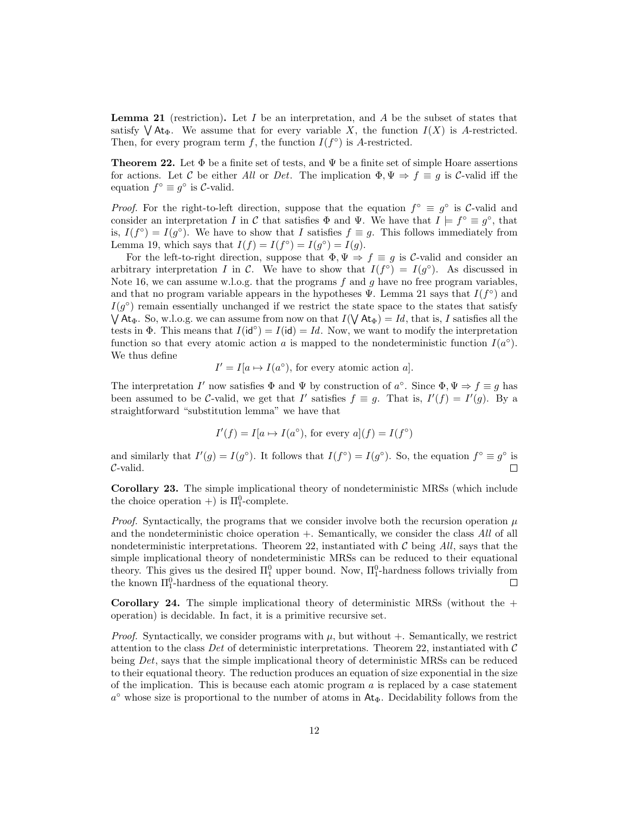**Lemma 21** (restriction). Let  $I$  be an interpretation, and  $A$  be the subset of states that satisfy  $\bigvee$  At<sub> $\Phi$ </sub>. We assume that for every variable X, the function  $I(X)$  is A-restricted. Then, for every program term f, the function  $I(f^{\circ})$  is A-restricted.

**Theorem 22.** Let  $\Phi$  be a finite set of tests, and  $\Psi$  be a finite set of simple Hoare assertions for actions. Let C be either All or Det. The implication  $\Phi, \Psi \Rightarrow f \equiv g$  is C-valid iff the equation  $f^{\circ} \equiv g^{\circ}$  is C-valid.

*Proof.* For the right-to-left direction, suppose that the equation  $f^{\circ} \equiv g^{\circ}$  is C-valid and consider an interpretation I in C that satisfies  $\Phi$  and  $\Psi$ . We have that  $I \models f^{\circ} \equiv g^{\circ}$ , that is,  $I(f^{\circ}) = I(g^{\circ})$ . We have to show that I satisfies  $f \equiv g$ . This follows immediately from Lemma 19, which says that  $I(f) = I(f^{\circ}) = I(g^{\circ}) = I(g)$ .

For the left-to-right direction, suppose that  $\Phi, \Psi \Rightarrow f \equiv g$  is C-valid and consider an arbitrary interpretation I in C. We have to show that  $I(f^{\circ}) = I(g^{\circ})$ . As discussed in Note 16, we can assume w.l.o.g. that the programs f and g have no free program variables, and that no program variable appears in the hypotheses  $\Psi$ . Lemma 21 says that  $I(f^{\circ})$  and  $I(g^{\circ})$  remain essentially unchanged if we restrict the state space to the states that satisfy  $\bigvee$  At<sub> $\Phi$ </sub>. So, w.l.o.g. we can assume from now on that  $I(\bigvee$  At $_{\Phi}) = Id$ , that is, I satisfies all the tests in  $\Phi$ . This means that  $I(\mathsf{id}^\circ) = I(\mathsf{id}) = Id$ . Now, we want to modify the interpretation function so that every atomic action a is mapped to the nondeterministic function  $I(a^{\circ})$ . We thus define

 $I' = I[a \mapsto I(a^{\circ}),$  for every atomic action a].

The interpretation I' now satisfies  $\Phi$  and  $\Psi$  by construction of  $a^{\circ}$ . Since  $\Phi, \Psi \Rightarrow f \equiv g$  has been assumed to be C-valid, we get that I' satisfies  $f \equiv g$ . That is,  $I'(f) = I'(g)$ . By a straightforward "substitution lemma" we have that

$$
I'(f) = I[a \mapsto I(a^{\circ}),
$$
 for every  $a|(f) = I(f^{\circ})$ 

and similarly that  $I'(g) = I(g^{\circ})$ . It follows that  $I(f^{\circ}) = I(g^{\circ})$ . So, the equation  $f^{\circ} \equiv g^{\circ}$  is C-valid.  $\Box$ 

Corollary 23. The simple implicational theory of nondeterministic MRSs (which include the choice operation + is  $\Pi_1^0$ -complete.

*Proof.* Syntactically, the programs that we consider involve both the recursion operation  $\mu$ and the nondeterministic choice operation  $+$ . Semantically, we consider the class All of all nondeterministic interpretations. Theorem 22, instantiated with  $\mathcal C$  being All, says that the simple implicational theory of nondeterministic MRSs can be reduced to their equational theory. This gives us the desired  $\Pi_1^0$  upper bound. Now,  $\Pi_1^0$ -hardness follows trivially from the known  $\Pi_1^0$ -hardness of the equational theory.  $\Box$ 

Corollary 24. The simple implicational theory of deterministic MRSs (without the  $+$ operation) is decidable. In fact, it is a primitive recursive set.

*Proof.* Syntactically, we consider programs with  $\mu$ , but without +. Semantically, we restrict attention to the class Det of deterministic interpretations. Theorem 22, instantiated with  $\mathcal C$ being Det, says that the simple implicational theory of deterministic MRSs can be reduced to their equational theory. The reduction produces an equation of size exponential in the size of the implication. This is because each atomic program  $\alpha$  is replaced by a case statement  $a^{\circ}$  whose size is proportional to the number of atoms in  $At_{\Phi}$ . Decidability follows from the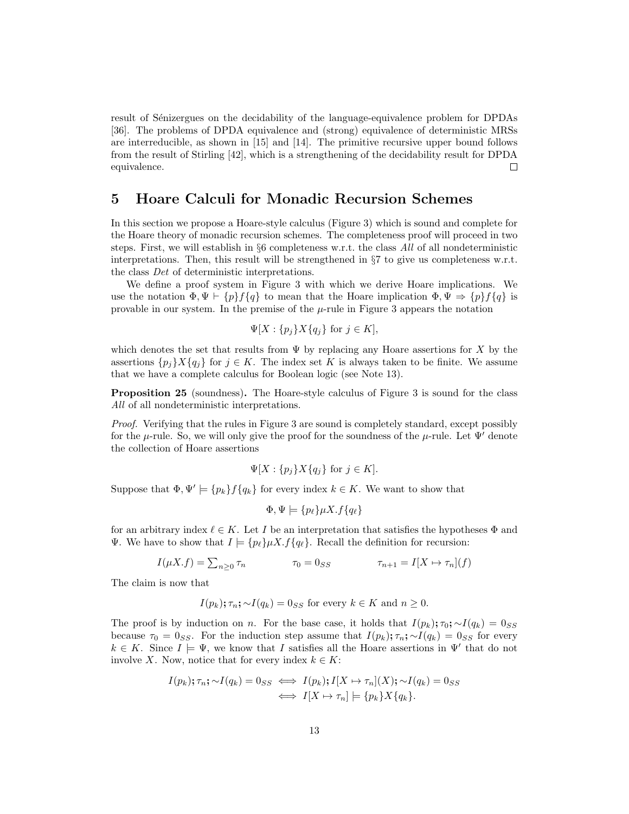result of Sénizergues on the decidability of the language-equivalence problem for DPDAs [36]. The problems of DPDA equivalence and (strong) equivalence of deterministic MRSs are interreducible, as shown in [15] and [14]. The primitive recursive upper bound follows from the result of Stirling [42], which is a strengthening of the decidability result for DPDA equivalence. П

# 5 Hoare Calculi for Monadic Recursion Schemes

In this section we propose a Hoare-style calculus (Figure 3) which is sound and complete for the Hoare theory of monadic recursion schemes. The completeness proof will proceed in two steps. First, we will establish in  $\S6$  completeness w.r.t. the class All of all nondeterministic interpretations. Then, this result will be strengthened in  $\S7$  to give us completeness w.r.t. the class Det of deterministic interpretations.

We define a proof system in Figure 3 with which we derive Hoare implications. We use the notation  $\Phi, \Psi \vdash \{p\} f\{q\}$  to mean that the Hoare implication  $\Phi, \Psi \Rightarrow \{p\} f\{q\}$  is provable in our system. In the premise of the  $\mu$ -rule in Figure 3 appears the notation

$$
\Psi[X:\{p_j\}X\{q_j\}\text{ for }j\in K],
$$

which denotes the set that results from  $\Psi$  by replacing any Hoare assertions for X by the assertions  $\{p_j\}X\{q_j\}$  for  $j \in K$ . The index set K is always taken to be finite. We assume that we have a complete calculus for Boolean logic (see Note 13).

**Proposition 25** (soundness). The Hoare-style calculus of Figure 3 is sound for the class All of all nondeterministic interpretations.

Proof. Verifying that the rules in Figure 3 are sound is completely standard, except possibly for the  $\mu$ -rule. So, we will only give the proof for the soundness of the  $\mu$ -rule. Let  $\Psi'$  denote the collection of Hoare assertions

$$
\Psi[X:\{p_j\}X\{q_j\}\text{ for }j\in K].
$$

Suppose that  $\Phi, \Psi' \models \{p_k\} f\{q_k\}$  for every index  $k \in K$ . We want to show that

$$
\Phi, \Psi \models \{p_{\ell}\}\mu X.f\{q_{\ell}\}\
$$

for an arbitrary index  $\ell \in K$ . Let I be an interpretation that satisfies the hypotheses  $\Phi$  and Ψ. We have to show that  $I \models \{p_\ell\} \mu X. f\{q_\ell\}$ . Recall the definition for recursion:

$$
I(\mu X.f) = \sum_{n\geq 0} \tau_n \qquad \qquad \tau_0 = 0_{SS} \qquad \qquad \tau_{n+1} = I[X \mapsto \tau_n](f)
$$

The claim is now that

$$
I(p_k); \tau_n; \sim I(q_k) = 0_{SS}
$$
 for every  $k \in K$  and  $n \ge 0$ .

The proof is by induction on n. For the base case, it holds that  $I(p_k); \tau_0; \sim I(q_k) = 0_{SS}$ because  $\tau_0 = 0_{SS}$ . For the induction step assume that  $I(p_k); \tau_n; \sim I(q_k) = 0_{SS}$  for every  $k \in K$ . Since  $I \models \Psi$ , we know that I satisfies all the Hoare assertions in  $\Psi'$  that do not involve X. Now, notice that for every index  $k \in K$ :

$$
I(p_k); \tau_n; \sim I(q_k) = 0_{SS} \iff I(p_k); I[X \mapsto \tau_n](X); \sim I(q_k) = 0_{SS}
$$
  

$$
\iff I[X \mapsto \tau_n] \models \{p_k\} X \{q_k\}.
$$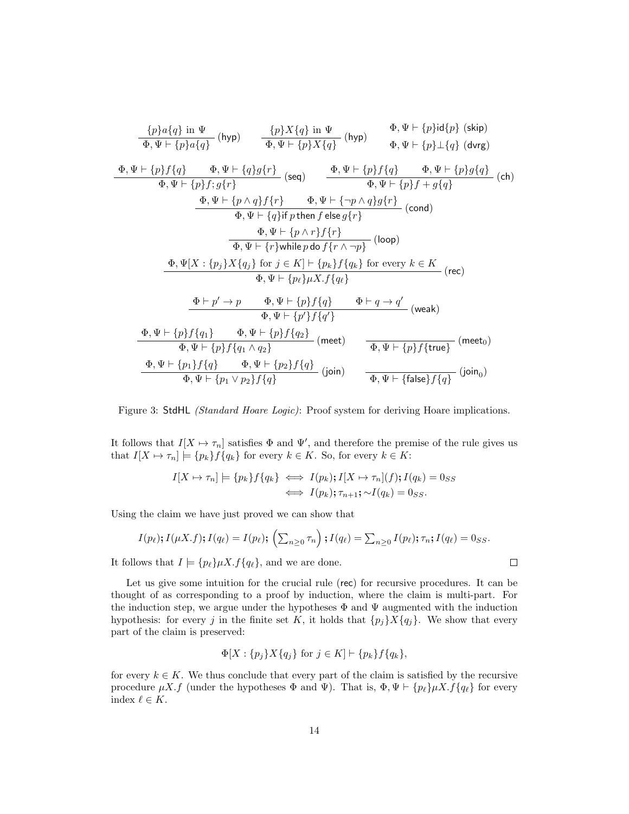$$
\frac{\{p\}_a\{q\}\text{ in }\Psi}{\Phi,\Psi\vdash \{p\}_a\{q\}}\quad\text{(hyp)}\qquad\n\frac{\{p\}_X\{q\}\text{ in }\Psi}{\Phi,\Psi\vdash \{p\}_X\{q\}}\quad\text{(hyp)}\qquad\n\Phi,\Psi\vdash \{p\}\text{ if }p\}\quad\text{(skip)}\n\Phi,\Psi\vdash \{p\}_a\{\{q\}\qquad\n\Phi,\Psi\vdash \{q\}_a\{q\}\qquad\n\Phi,\Psi\vdash \{p\}_a\{q\}\quad\Phi,\Psi\vdash \{p\}_a\{q\}\quad\Phi,\Psi\vdash \{p\}_a\{q\}\quad\Phi,\Psi\vdash \{p\}_a\{q\}\quad\Phi,\Psi\vdash \{p\}_a\{q\}\quad\Phi,\Psi\vdash \{p\}_a\{q\}\quad\Phi,\Psi\vdash \{p\}_a\{q\}\quad\Phi,\Psi\vdash \{p\}_a\{q\}\quad\Phi,\Psi\vdash \{p\}_a\{q\}\quad\Phi,\Psi\vdash \{p\}\text{ if }p\text{ then }f\text{ else }q\}_r\} \quad\text{(cond)}
$$
\n
$$
\Phi,\Psi\vdash \{p\}\text{ if }p\text{ then }f\text{ else }q\}_r\} \quad\text{(cond)}
$$
\n
$$
\Phi,\Psi\vdash \{p\}\text{ while }p\text{ do }f\{\tau\}\wedge\neg p\} \quad\text{(loop)}
$$
\n
$$
\Phi,\Psi\vdash \{p\}_a\{p\}\text{ while }p\text{ do }f\{\tau\}\wedge\neg p\} \quad\text{(loop)}
$$
\n
$$
\Phi,\Psi\vdash \{p\}_a\{p\}\text{ for every }k\in K\quad\Phi,\Psi\vdash \{p\}_a\{p\}\quad\Phi,\Psi\vdash \{p\}_a\{p\}\quad\Phi,\Psi\vdash \{p\}_a\{p\}\quad\Phi,\Psi\vdash \{p\}_a\{p\}\quad\Phi,\Psi\vdash \{p\}_a\{p\}\quad\Phi,\Psi\vdash \{p\}_a\{p\}\quad\Phi,\Psi\vdash \{p\}_a\{p\}\quad\Phi,\Psi\vdash \{p\}_a\{p\}\quad\Phi,\Psi\vdash \{p\}_a\{p\}\quad\Phi,\Psi\vdash \{p\}_a\{p\}\quad
$$



It follows that  $I[X \mapsto \tau_n]$  satisfies  $\Phi$  and  $\Psi'$ , and therefore the premise of the rule gives us that  $I[X \mapsto \tau_n] \models \{p_k\} f\{q_k\}$  for every  $k \in K$ . So, for every  $k \in K$ :

$$
I[X \mapsto \tau_n] \models \{p_k\} f\{q_k\} \iff I(p_k); I[X \mapsto \tau_n](f); I(q_k) = 0_{SS}
$$
  

$$
\iff I(p_k); \tau_{n+1}; \sim I(q_k) = 0_{SS}.
$$

Using the claim we have just proved we can show that

$$
I(p_{\ell}); I(\mu X.f); I(q_{\ell}) = I(p_{\ell}); \left(\sum_{n\geq 0} \tau_n\right); I(q_{\ell}) = \sum_{n\geq 0} I(p_{\ell}); \tau_n; I(q_{\ell}) = 0_{SS}.
$$

It follows that  $I \models \{p_\ell\}\mu X.f\{q_\ell\}$ , and we are done.

Let us give some intuition for the crucial rule (rec) for recursive procedures. It can be thought of as corresponding to a proof by induction, where the claim is multi-part. For the induction step, we argue under the hypotheses  $\Phi$  and  $\Psi$  augmented with the induction hypothesis: for every j in the finite set K, it holds that  $\{p_j\}X\{q_j\}$ . We show that every part of the claim is preserved:

$$
\Phi[X:\{p_j\}X\{q_j\} \text{ for } j \in K] \vdash \{p_k\}f\{q_k\},\
$$

for every  $k \in K$ . We thus conclude that every part of the claim is satisfied by the recursive procedure  $\mu X.f$  (under the hypotheses  $\Phi$  and  $\Psi$ ). That is,  $\Phi$ ,  $\Psi \vdash \{p_\ell\}\mu X.f\{q_\ell\}$  for every index  $\ell \in K$ .

$$
\Box
$$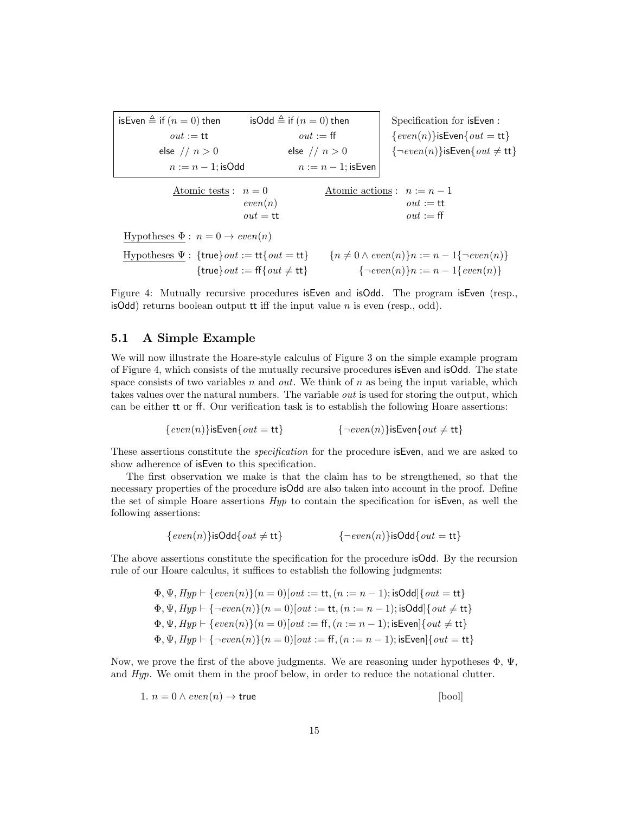| isEven $\triangleq$ if $(n=0)$ then<br>$out :=$ tt                                                             | isOdd $\triangleq$ if $(n=0)$ then<br>$out := ff$                      |                        | Specification for is Even :<br>$\{even(n)\}$ isEven $\{out = \text{tt}\}$                          |
|----------------------------------------------------------------------------------------------------------------|------------------------------------------------------------------------|------------------------|----------------------------------------------------------------------------------------------------|
| else // $n > 0$<br>$n := n - 1$ ; isOdd                                                                        | else // $n > 0$                                                        | $n := n - 1$ ; is Even | $\{\neg even(n)\}$ isEven $\{out \neq \text{tt}\}$                                                 |
| Atomic tests : $n = 0$                                                                                         | even(n)<br>$out = tt$                                                  |                        | Atomic actions : $n := n - 1$<br>$out :=$ tt<br>$out := ff$                                        |
| Hypotheses $\Phi : n = 0 \rightarrow even(n)$<br>Hypotheses $\Psi$ : {true} <i>out</i> := tt{ <i>out</i> = tt} | $\{\text{true}\}\text{out} := \text{ff}\{\text{out} \neq \text{tt}\}\$ |                        | ${n \neq 0 \wedge even(n)}n := n - 1\{\neg even(n)\}\$<br>$\{\neg even(n)\}n := n - 1\{even(n)\}\$ |

Figure 4: Mutually recursive procedures isEven and isOdd. The program isEven (resp., isOdd) returns boolean output tt iff the input value  $n$  is even (resp., odd).

## 5.1 A Simple Example

We will now illustrate the Hoare-style calculus of Figure 3 on the simple example program of Figure 4, which consists of the mutually recursive procedures isEven and isOdd. The state space consists of two variables n and *out*. We think of n as being the input variable, which takes values over the natural numbers. The variable *out* is used for storing the output, which can be either tt or ff. Our verification task is to establish the following Hoare assertions:

$$
{\text{even}(n)} is \text{Even} \{ out = \text{tt} \}
$$
\n
$$
{\text{even}(n)} is \text{Even} \{ out \neq \text{tt} \}
$$

These assertions constitute the specification for the procedure isEven, and we are asked to show adherence of isEven to this specification.

The first observation we make is that the claim has to be strengthened, so that the necessary properties of the procedure isOdd are also taken into account in the proof. Define the set of simple Hoare assertions  $Hyp$  to contain the specification for is Even, as well the following assertions:

$$
\{even(n)\}\text{isOdd}\{out \neq \text{tt}\}\qquad \{\neg even(n)\}\text{isOdd}\{out = \text{tt}\}\
$$

The above assertions constitute the specification for the procedure isOdd. By the recursion rule of our Hoare calculus, it suffices to establish the following judgments:

$$
\Phi, \Psi, Hyp \vdash \{even(n)\}(n=0)[out := \text{tt}, (n := n-1); \text{isOdd}]\{out = \text{tt}\}\
$$

$$
\Phi, \Psi, Hyp \vdash \{\neg even(n)\}(n=0)[out := \text{tt}, (n := n-1); \text{isOdd}]\{out \neq \text{tt}\}\
$$

$$
\Phi, \Psi, Hyp \vdash \{even(n)\}(n=0)[out := \text{ff}, (n := n-1); \text{isEven}]\{out \neq \text{tt}\}\
$$

$$
\Phi, \Psi, Hyp \vdash \{\neg even(n)\}(n=0)[out := \text{ff}, (n := n-1); \text{isEven}]\{out = \text{tt}\}\
$$

Now, we prove the first of the above judgments. We are reasoning under hypotheses  $\Phi$ ,  $\Psi$ , and Hyp. We omit them in the proof below, in order to reduce the notational clutter.

1. 
$$
n = 0 \land \text{even}(n) \rightarrow \text{true}
$$
 [bool]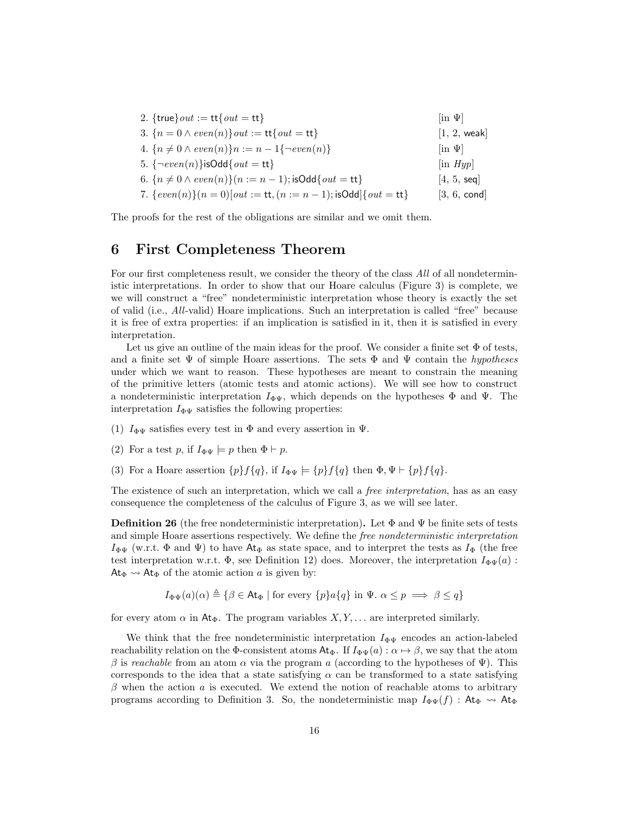| 2. {true} $out := \mathsf{tt} \{ out = \mathsf{tt} \}$                                          | $\left[\text{in }\Psi\right]$ |
|-------------------------------------------------------------------------------------------------|-------------------------------|
| 3. $\{n=0 \wedge even(n)\}\text{out} := \mathsf{tt}\{\text{out} = \mathsf{tt}\}\$               | $[1, 2,$ weak                 |
| 4. ${n \neq 0 \land even(n)}n := n - 1\{\neg even(n)\}\$                                        | $\left[\text{in }\Psi\right]$ |
| 5. $\{\neg even(n)\}$ isOdd $\{out = \text{tt}\}$                                               | $\left[\text{in } Hyp\right]$ |
| 6. $\{n \neq 0 \land even(n)\}(n := n - 1);$ isOdd $\{out = \text{tt}\}\$                       | $[4, 5, \text{seq}]$          |
| 7. $\{even(n)\}(n=0)$ [ <i>out</i> := tt, ( <i>n</i> := <i>n</i> - 1); isOdd]{ <i>out</i> = tt} | $[3, 6, \text{cond}]$         |

The proofs for the rest of the obligations are similar and we omit them.

# 6 First Completeness Theorem

For our first completeness result, we consider the theory of the class All of all nondeterministic interpretations. In order to show that our Hoare calculus (Figure 3) is complete, we we will construct a "free" nondeterministic interpretation whose theory is exactly the set of valid (i.e., All-valid) Hoare implications. Such an interpretation is called "free" because it is free of extra properties: if an implication is satisfied in it, then it is satisfied in every interpretation.

Let us give an outline of the main ideas for the proof. We consider a finite set  $\Phi$  of tests, and a finite set  $\Psi$  of simple Hoare assertions. The sets  $\Phi$  and  $\Psi$  contain the *hypotheses* under which we want to reason. These hypotheses are meant to constrain the meaning of the primitive letters (atomic tests and atomic actions). We will see how to construct a nondeterministic interpretation  $I_{\Phi\Psi}$ , which depends on the hypotheses  $\Phi$  and  $\Psi$ . The interpretation  $I_{\Phi\Psi}$  satisfies the following properties:

- (1)  $I_{\Phi\Psi}$  satisfies every test in  $\Phi$  and every assertion in  $\Psi$ .
- (2) For a test p, if  $I_{\Phi\Psi} \models p$  then  $\Phi \vdash p$ .
- (3) For a Hoare assertion  $\{p\}f\{q\}$ , if  $I_{\Phi\Psi} \models \{p\}f\{q\}$  then  $\Phi, \Psi \vdash \{p\}f\{q\}$ .

The existence of such an interpretation, which we call a *free interpretation*, has as an easy consequence the completeness of the calculus of Figure 3, as we will see later.

**Definition 26** (the free nondeterministic interpretation). Let  $\Phi$  and  $\Psi$  be finite sets of tests and simple Hoare assertions respectively. We define the free nondeterministic interpretation  $I_{\Phi\Psi}$  (w.r.t.  $\Phi$  and  $\Psi$ ) to have  $\mathsf{At}_{\Phi}$  as state space, and to interpret the tests as  $I_{\Phi}$  (the free test interpretation w.r.t.  $\Phi$ , see Definition 12) does. Moreover, the interpretation  $I_{\Phi\Psi}(a)$ :  $At_{\Phi} \rightsquigarrow At_{\Phi}$  of the atomic action a is given by:

$$
I_{\Phi\Psi}(a)(\alpha) \triangleq {\beta \in \mathsf{At}_{\Phi} | \text{ for every } {p} a{q} \text{ in } \Psi. \ \alpha \leq p \implies \beta \leq q}
$$

for every atom  $\alpha$  in At<sub> $\Phi$ </sub>. The program variables  $X, Y, \dots$  are interpreted similarly.

We think that the free nondeterministic interpretation  $I_{\Phi\Psi}$  encodes an action-labeled reachability relation on the  $\Phi$ -consistent atoms  $\mathsf{At}_{\Phi}$ . If  $I_{\Phi\Psi}(a): \alpha \mapsto \beta$ , we say that the atom β is reachable from an atom  $\alpha$  via the program a (according to the hypotheses of  $\Psi$ ). This corresponds to the idea that a state satisfying  $\alpha$  can be transformed to a state satisfying  $\beta$  when the action a is executed. We extend the notion of reachable atoms to arbitrary programs according to Definition 3. So, the nondeterministic map  $I_{\Phi\Psi}(f)$  : At<sub> $\Phi \rightsquigarrow$  At<sub> $\Phi$ </sub></sub>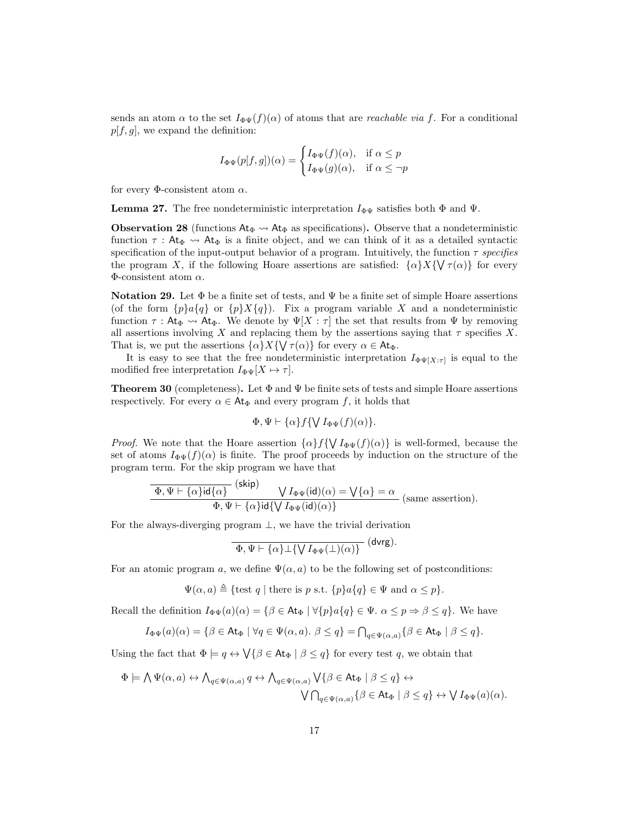sends an atom  $\alpha$  to the set  $I_{\Phi\Psi}(f)(\alpha)$  of atoms that are *reachable via f*. For a conditional  $p[f, g]$ , we expand the definition:

$$
I_{\Phi\Psi}(p[f,g])(\alpha) = \begin{cases} I_{\Phi\Psi}(f)(\alpha), & \text{if } \alpha \le p \\ I_{\Phi\Psi}(g)(\alpha), & \text{if } \alpha \leq \neg p \end{cases}
$$

for every  $\Phi$ -consistent atom  $\alpha$ .

**Lemma 27.** The free nondeterministic interpretation  $I_{\Phi\Psi}$  satisfies both  $\Phi$  and  $\Psi$ .

**Observation 28** (functions  $At_{\Phi} \rightarrow At_{\Phi}$  as specifications). Observe that a nondeterministic function  $\tau$ : At<sub> $\Phi$ </sub>  $\rightsquigarrow$  At<sub> $\Phi$ </sub> is a finite object, and we can think of it as a detailed syntactic specification of the input-output behavior of a program. Intuitively, the function  $\tau$  specifies the program X, if the following Hoare assertions are satisfied:  $\{\alpha\}X\{\forall \tau(\alpha)\}\;$  for every  $\Phi$ -consistent atom  $\alpha$ .

Notation 29. Let  $\Phi$  be a finite set of tests, and  $\Psi$  be a finite set of simple Hoare assertions (of the form  ${p}a{q}$  or  ${p}X{q}$ ). Fix a program variable X and a nondeterministic function  $\tau$ : At<sub>Φ</sub>  $\rightsquigarrow$  At<sub>Φ</sub>. We denote by  $\Psi[X : \tau]$  the set that results from  $\Psi$  by removing all assertions involving X and replacing them by the assertions saying that  $\tau$  specifies X. That is, we put the assertions  $\{\alpha\}X\{\forall \tau(\alpha)\}\$ for every  $\alpha \in \mathsf{At}_{\Phi}$ .

It is easy to see that the free nondeterministic interpretation  $I_{\Phi\Psi[X:\tau]}$  is equal to the modified free interpretation  $I_{\Phi\Psi}[X \mapsto \tau]$ .

**Theorem 30** (completeness). Let  $\Phi$  and  $\Psi$  be finite sets of tests and simple Hoare assertions respectively. For every  $\alpha \in \mathsf{At}_{\Phi}$  and every program f, it holds that

$$
\Phi, \Psi \vdash \{\alpha\} f \{\bigvee I_{\Phi\Psi}(f)(\alpha)\}.
$$

*Proof.* We note that the Hoare assertion  $\{\alpha\} f\{\forall I_{\Phi\Psi}(f)(\alpha)\}\$ is well-formed, because the set of atoms  $I_{\Phi\Psi}(f)(\alpha)$  is finite. The proof proceeds by induction on the structure of the program term. For the skip program we have that

$$
\dfrac{\dfrac{\Phi,\Psi \vdash \{\alpha\} {\rm id}\{\alpha\}}{\Phi,\Psi \vdash \{\alpha\} {\rm id}\{\sqrt{I_{\Phi\Psi}({\rm id})(\alpha)}=\bigvee\{\alpha\}=\alpha}{\Phi,\Psi \vdash \{\alpha\} {\rm id}\{\bigvee I_{\Phi\Psi}({\rm id})(\alpha)\}} \ \ \rm (same \ \ assertion).
$$

For the always-diverging program  $\perp$ , we have the trivial derivation

$$
\overline{\Phi,\Psi \vdash \{\alpha\} \bot \{\bigvee I_{\Phi \Psi}(\bot)(\alpha)\}} \ \ (\text{dvrg}).
$$

For an atomic program a, we define  $\Psi(\alpha, a)$  to be the following set of postconditions:

 $\Psi(\alpha, a) \triangleq \{\text{test } q \mid \text{there is } p \text{ s.t. } \{p\}a\{q\} \in \Psi \text{ and } \alpha \leq p\}.$ 

Recall the definition  $I_{\Phi\Psi}(a)(\alpha) = {\beta \in \mathsf{At}_{\Phi} \mid \forall \{p\}a\{q\} \in \Psi \colon \alpha \leq p \Rightarrow \beta \leq q}$ . We have

$$
I_{\Phi\Psi}(a)(\alpha) = \{ \beta \in \mathsf{At}_{\Phi} \mid \forall q \in \Psi(\alpha, a). \ \beta \leq q \} = \bigcap_{q \in \Psi(\alpha, a)} \{ \beta \in \mathsf{At}_{\Phi} \mid \beta \leq q \}.
$$

Using the fact that  $\Phi \models q \leftrightarrow \bigvee {\beta \in \mathsf{At}_{\Phi} \mid \beta \leq q}$  for every test q, we obtain that

$$
\Phi \models \bigwedge \Psi(\alpha, a) \leftrightarrow \bigwedge_{q \in \Psi(\alpha, a)} q \leftrightarrow \bigwedge_{q \in \Psi(\alpha, a)} \bigvee \{\beta \in \mathsf{At}_{\Phi} \mid \beta \leq q\} \leftrightarrow \\ \bigvee \bigcap_{q \in \Psi(\alpha, a)} \{\beta \in \mathsf{At}_{\Phi} \mid \beta \leq q\} \leftrightarrow \bigvee I_{\Phi\Psi}(a)(\alpha).
$$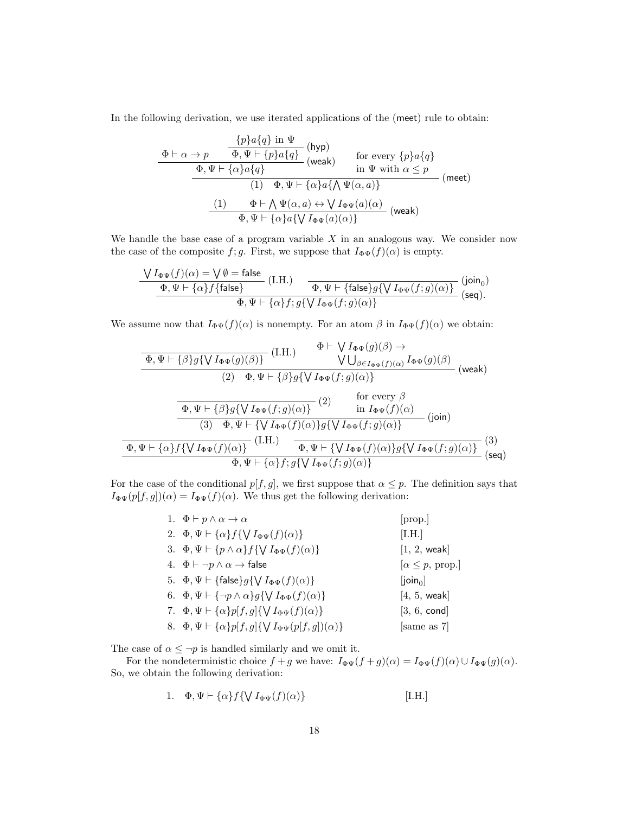In the following derivation, we use iterated applications of the (meet) rule to obtain:

$$
\frac{\Phi \vdash \alpha \to p \qquad \frac{\{p\}a\{q\} \text{ in } \Psi}{\Phi, \Psi \vdash \{p\}a\{q\}} \text{ (hyp)}}{\Phi, \Psi \vdash \{\alpha\}a\{q\}} \text{ (weak)} \qquad \text{for every } \{p\}a\{q\} \qquad \text{in } \Psi \text{ with } \alpha \leq p \qquad \text{ (meet)}
$$
\n
$$
\frac{(1) \qquad \Phi \vdash \bigwedge \Psi(\alpha, a) \leftrightarrow \bigvee I_{\Phi\Psi}(a)(\alpha)}{\Phi, \Psi \vdash \{\alpha\}a\{\bigvee I_{\Phi\Psi}(a)(\alpha)\}} \text{ (weak)}
$$

We handle the base case of a program variable  $X$  in an analogous way. We consider now the case of the composite f; g. First, we suppose that  $I_{\Phi\Psi}(f)(\alpha)$  is empty.

$$
\frac{\sqrt{I_{\Phi\Psi}(f)(\alpha)} = \sqrt{\emptyset} = \text{false}}{\Phi, \Psi \vdash {\alpha} f \{\text{false}\}} \frac{(\text{I.H.})}{\Phi, \Psi \vdash {\text{false}} g \{\sqrt{I_{\Phi\Psi}(f; g)(\alpha)}\}} \frac{(\text{join}_0)}{(\text{seq})} \\ \Phi, \Psi \vdash {\alpha} f; g \{\sqrt{I_{\Phi\Psi}(f; g)(\alpha)}\}} \frac{(\text{join}_0)}{(\text{seq})}.
$$

We assume now that  $I_{\Phi\Psi}(f)(\alpha)$  is nonempty. For an atom  $\beta$  in  $I_{\Phi\Psi}(f)(\alpha)$  we obtain:

$$
\frac{\Phi + \bigvee I_{\Phi\Psi}(g)(\beta) \rightarrow}{\Phi, \Psi \vdash \{\beta\}g\{\bigvee I_{\Phi\Psi}(g)(\beta)\}} \quad (I.H.) \quad \Phi \vdash \bigvee I_{\Phi\Psi}(g)(\beta) \rightarrow (2) \quad \Phi, \Psi \vdash \{\beta\}g\{\bigvee I_{\Phi\Psi}(f;g)(\alpha)\} \quad \text{(weak)}
$$
\n
$$
\frac{\Phi, \Psi \vdash \{\beta\}g\{\bigvee I_{\Phi\Psi}(f;g)(\alpha)\}}{\Phi, \Psi \vdash \{\beta\}g\{\bigvee I_{\Phi\Psi}(f;g)(\alpha)\} \quad (2) \quad \text{for every } \beta \quad \text{in } I_{\Phi\Psi}(f)(\alpha) \quad \text{(join)}
$$
\n
$$
\frac{\Phi, \Psi \vdash \{\alpha\}f\{\bigvee I_{\Phi\Psi}(f)(\alpha)\}g\{\bigvee I_{\Phi\Psi}(f;g)(\alpha)\}}{\Phi, \Psi \vdash \{\alpha\}f\{\bigvee I_{\Phi\Psi}(f)(\alpha)\} \quad (I.H.) \quad \Phi, \Psi \vdash \{\bigvee I_{\Phi\Psi}(f)(\alpha)\}g\{\bigvee I_{\Phi\Psi}(f;g)(\alpha)\}} \quad (3) \quad \Phi, \Psi \vdash \{\alpha\}f; g\{\bigvee I_{\Phi\Psi}(f;g)(\alpha)\} \quad (seq)
$$

For the case of the conditional  $p[f, g]$ , we first suppose that  $\alpha \leq p$ . The definition says that  $I_{\Phi\Psi}(p[f,g])(\alpha) = I_{\Phi\Psi}(f)(\alpha)$ . We thus get the following derivation:

| 1. $\Phi \vdash p \land \alpha \rightarrow \alpha$                                  | [prop.]                           |
|-------------------------------------------------------------------------------------|-----------------------------------|
| 2. $\Phi, \Psi \vdash \{\alpha\} f \{\bigvee I_{\Phi\Psi}(f)(\alpha)\}\$            | I.H.                              |
| 3. $\Phi, \Psi \vdash \{p \land \alpha\} f \{\bigvee I_{\Phi\Psi}(f)(\alpha)\}\$    | $[1, 2,$ weak                     |
| 4. $\Phi \vdash \neg p \land \alpha \rightarrow \text{false}$                       | $[\alpha \leq p, \text{prop.}]$   |
| 5. $\Phi, \Psi \vdash \{\text{false}\}\text{g}\{\bigvee I_{\Phi\Psi}(f)(\alpha)\}\$ | $\vert$ join <sub>o</sub> $\vert$ |
| 6. $\Phi, \Psi \vdash {\neg p \land \alpha} g \{\bigvee I_{\Phi\Psi}(f)(\alpha)\}\$ | $[4, 5,$ weak                     |
| 7. $\Phi, \Psi \vdash {\alpha} p[f, g] {\forall} I_{\Phi\Psi}(f)(\alpha)$           | [3, 6, cond]                      |
| 8. $\Phi, \Psi \vdash {\alpha} p[f, g] {\forall} I_{\Phi\Psi}(p[f, g])(\alpha)$     | [same as 7]                       |
|                                                                                     |                                   |

The case of  $\alpha \leq \neg p$  is handled similarly and we omit it.

L, L,

For the nondeterministic choice  $f + g$  we have:  $I_{\Phi\Psi}(f + g)(\alpha) = I_{\Phi\Psi}(f)(\alpha) \cup I_{\Phi\Psi}(g)(\alpha)$ . So, we obtain the following derivation:

1. 
$$
\Phi, \Psi \vdash {\alpha} f {\{\n \bigvee I_{\Phi\Psi}(f)(\alpha)\}}
$$
 [I.H.]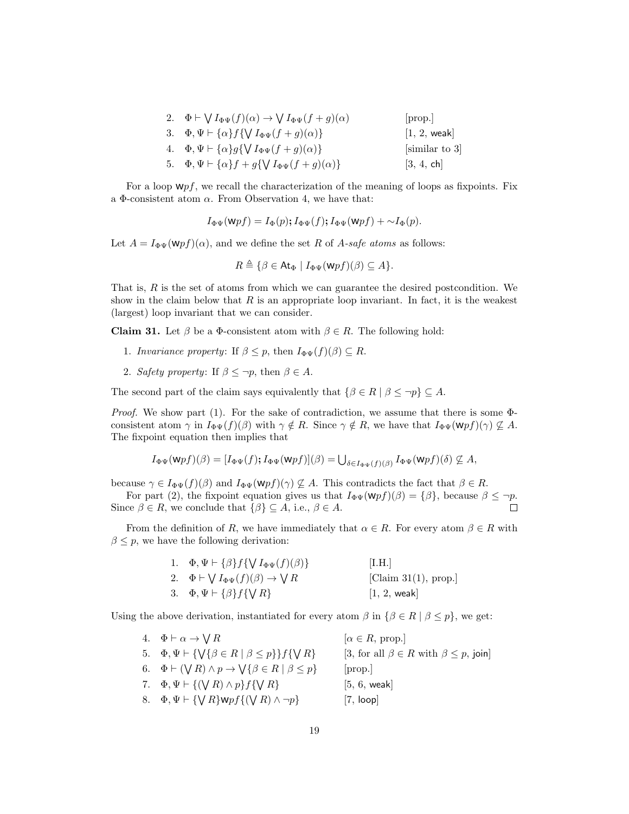| 2. $\Phi \vdash \bigvee I_{\Phi\Psi}(f)(\alpha) \rightarrow \bigvee I_{\Phi\Psi}(f+g)(\alpha)$ | $[\text{prop.}]$ |
|------------------------------------------------------------------------------------------------|------------------|
| 3. $\Phi, \Psi \vdash {\alpha} f {\forall} I_{\Phi\Psi}(f+g)(\alpha)$                          | $[1, 2,$ weak    |
| 4. $\Phi, \Psi \vdash {\alpha} g \{\bigvee I_{\Phi\Psi}(f+g)(\alpha)\}\$                       | similar to 3     |
| 5. $\Phi, \Psi \vdash \{\alpha\}f + g\{\bigvee I_{\Phi\Psi}(f+g)(\alpha)\}\$                   | [3, 4, ch]       |

For a loop  $Wpf$ , we recall the characterization of the meaning of loops as fixpoints. Fix a Φ-consistent atom  $\alpha$ . From Observation 4, we have that:

 $I_{\Phi\Psi}(\mathsf{w}p f) = I_{\Phi}(p); I_{\Phi\Psi}(f); I_{\Phi\Psi}(\mathsf{w}p f) + \sim I_{\Phi}(p).$ 

Let  $A = I_{\Phi\Psi}(\Psi pf)(\alpha)$ , and we define the set R of A-safe atoms as follows:

$$
R \triangleq \{ \beta \in \mathsf{At}_{\Phi} \mid I_{\Phi \Psi}(\mathsf{w}p f)(\beta) \subseteq A \}.
$$

That is,  $R$  is the set of atoms from which we can guarantee the desired postcondition. We show in the claim below that  $R$  is an appropriate loop invariant. In fact, it is the weakest (largest) loop invariant that we can consider.

**Claim 31.** Let  $\beta$  be a  $\Phi$ -consistent atom with  $\beta \in R$ . The following hold:

- 1. Invariance property: If  $\beta \leq p$ , then  $I_{\Phi\Psi}(f)(\beta) \subseteq R$ .
- 2. Safety property: If  $\beta \leq \neg p$ , then  $\beta \in A$ .

The second part of the claim says equivalently that  $\{\beta \in R \mid \beta \leq \neg p\} \subseteq A$ .

*Proof.* We show part (1). For the sake of contradiction, we assume that there is some  $\Phi$ consistent atom  $\gamma$  in  $I_{\Phi\Psi}(f)(\beta)$  with  $\gamma \notin R$ . Since  $\gamma \notin R$ , we have that  $I_{\Phi\Psi}(\mathsf{w}pf)(\gamma) \nsubseteq A$ . The fixpoint equation then implies that

$$
I_{\Phi\Psi}(\mathsf{w}p\mathsf{f})(\beta)=[I_{\Phi\Psi}(\mathsf{f});I_{\Phi\Psi}(\mathsf{w}p\mathsf{f})](\beta)=\bigcup_{\delta\in I_{\Phi\Psi}(\mathsf{f})(\beta)}I_{\Phi\Psi}(\mathsf{w}p\mathsf{f})(\delta)\nsubseteq A,
$$

because  $\gamma \in I_{\Phi\Psi}(f)(\beta)$  and  $I_{\Phi\Psi}(\Psi pf)(\gamma) \nsubseteq A$ . This contradicts the fact that  $\beta \in R$ .

For part (2), the fixpoint equation gives us that  $I_{\Phi\Psi}(\mathsf{w}p f)(\beta) = {\beta}$ , because  $\beta \leq \neg p$ . Since  $\beta \in R$ , we conclude that  $\{\beta\} \subseteq A$ , i.e.,  $\beta \in A$ .

From the definition of R, we have immediately that  $\alpha \in R$ . For every atom  $\beta \in R$  with  $\beta \leq p$ , we have the following derivation:

| 1. $\Phi, \Psi \vdash \{\beta\} f \{\bigvee I_{\Phi\Psi}(f)(\beta)\}$ | [I.H.]                  |
|-----------------------------------------------------------------------|-------------------------|
| 2. $\Phi \vdash \bigvee I_{\Phi\Psi}(f)(\beta) \rightarrow \bigvee R$ | [Claim $31(1)$ , prop.] |
| 3. $\Phi, \Psi \vdash \{\beta\} f \{\forall R\}$                      | $ 1, 2,$ weak           |

Using the above derivation, instantiated for every atom  $\beta$  in  $\{\beta \in R \mid \beta \leq p\}$ , we get:

| 4. $\Phi \vdash \alpha \rightarrow \bigvee R$                                            | $[\alpha \in R, \text{prop.}]$                        |
|------------------------------------------------------------------------------------------|-------------------------------------------------------|
| 5. $\Phi, \Psi \vdash \{\bigvee{\beta \in R \mid \beta \leq p\}}\}f\{\bigvee R\}$        | [3, for all $\beta \in R$ with $\beta \leq p$ , join] |
| 6. $\Phi \vdash (\bigvee R) \land p \rightarrow \bigvee {\beta \in R} \mid \beta \leq p$ | prop.                                                 |
| 7. $\Phi, \Psi \vdash \{(\bigvee R) \land p\} f \{\bigvee R\}$                           | $[5, 6,$ weak                                         |
| 8. $\Phi, \Psi \vdash \{\bigvee R\}$ Wp $f\{(\bigvee R) \land \neg p\}$                  | [7, loop]                                             |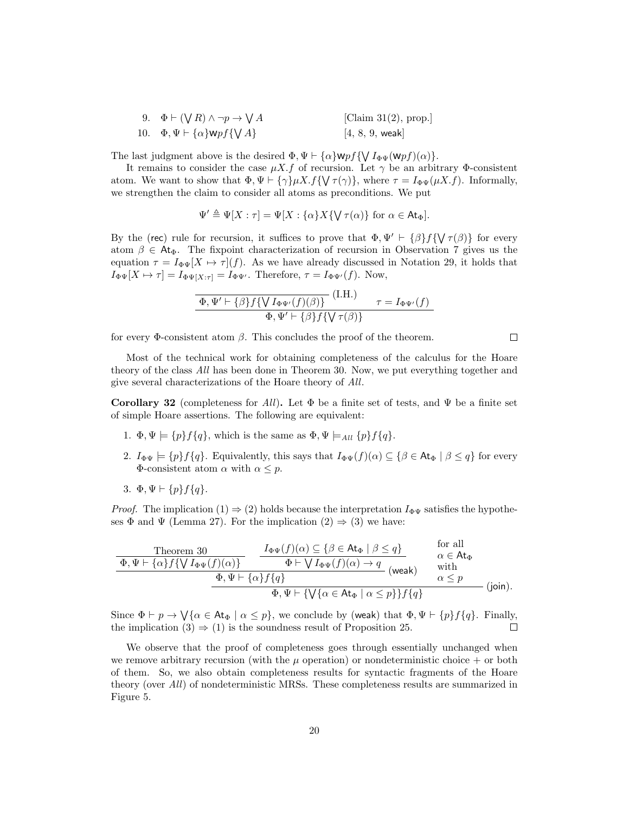| 9. $\Phi \vdash (\bigvee R) \land \neg p \rightarrow \bigvee A$ | [Claim $31(2)$ , prop.] |
|-----------------------------------------------------------------|-------------------------|
| 10. $\Phi, \Psi \vdash \{\alpha\} \text{Wpf}\{\bigvee A\}$      | $[4, 8, 9,$ weak        |

The last judgment above is the desired  $\Phi$ ,  $\Psi \vdash {\alpha} \text{wpf}({\sqrt{I_{\Phi \Psi}(\mathsf{w} p f)(\alpha)}}).$ 

It remains to consider the case  $\mu X.f$  of recursion. Let  $\gamma$  be an arbitrary Φ-consistent atom. We want to show that  $\Phi, \Psi \vdash {\gamma} \mu X . f {\{\nabla \tau(\gamma)\},\}$ , where  $\tau = I_{\Phi\Psi}(\mu X . f)$ . Informally, we strengthen the claim to consider all atoms as preconditions. We put

$$
\Psi' \triangleq \Psi[X:\tau] = \Psi[X:\{\alpha\}X\{\bigvee\tau(\alpha)\}\text{ for }\alpha\in\mathsf{At}_{\Phi}].
$$

By the (rec) rule for recursion, it suffices to prove that  $\Phi, \Psi' \vdash {\beta} f {\gamma(\beta)}$  for every atom  $\beta \in At_{\Phi}$ . The fixpoint characterization of recursion in Observation 7 gives us the equation  $\tau = I_{\Phi\Psi}[X \mapsto \tau](f)$ . As we have already discussed in Notation 29, it holds that  $I_{\Phi\Psi}[X \mapsto \tau] = I_{\Phi\Psi[X:\tau]} = I_{\Phi\Psi'}$ . Therefore,  $\tau = I_{\Phi\Psi'}(f)$ . Now,

$$
\frac{\Phi, \Psi' \vdash \{\beta\} f \{\bigvee I_{\Phi\Psi'}(f)(\beta)\}}{\Phi, \Psi' \vdash \{\beta\} f \{\bigvee \tau(\beta)\}} \frac{\tau = I_{\Phi\Psi'}(f)}{\tau = I_{\Phi\Psi'}}
$$

for every  $\Phi$ -consistent atom  $\beta$ . This concludes the proof of the theorem.

Most of the technical work for obtaining completeness of the calculus for the Hoare theory of the class All has been done in Theorem 30. Now, we put everything together and give several characterizations of the Hoare theory of All.

Corollary 32 (completeness for All). Let  $\Phi$  be a finite set of tests, and  $\Psi$  be a finite set of simple Hoare assertions. The following are equivalent:

- 1.  $\Phi, \Psi \models \{p\} f \{q\}$ , which is the same as  $\Phi, \Psi \models_{All} \{p\} f \{q\}$ .
- 2.  $I_{\Phi\Psi} \models \{p\} f \{q\}$ . Equivalently, this says that  $I_{\Phi\Psi}(f)(\alpha) \subseteq \{\beta \in \mathsf{At}_{\Phi} \mid \beta \leq q\}$  for every Φ-consistent atom  $\alpha$  with  $\alpha \leq p$ .
- 3.  $\Phi, \Psi \vdash \{p\} f \{q\}.$

*Proof.* The implication (1)  $\Rightarrow$  (2) holds because the interpretation  $I_{\Phi\Psi}$  satisfies the hypotheses  $\Phi$  and  $\Psi$  (Lemma 27). For the implication  $(2) \Rightarrow (3)$  we have:

| Theorem 30                                                           | $I_{\Phi\Psi}(f)(\alpha) \subseteq \{\beta \in \text{At}_{\Phi} \mid \beta \leq q\}$ | for all |
|----------------------------------------------------------------------|--------------------------------------------------------------------------------------|---------|
| $\Phi, \Psi \vdash \{\alpha\} f \{\bigvee I_{\Phi\Psi}(f)(\alpha)\}$ | $\Phi \vdash \bigvee I_{\Phi\Psi}(f)(\alpha) \rightarrow q$                          | for all |
| $\Phi, \Psi \vdash \{\alpha\} f \{q\}$                               | with                                                                                 |         |
| $\Phi, \Psi \vdash \{\lambda\} f \{q\}$                              | $\alpha \leq p$                                                                      | (join). |

Since  $\Phi \vdash p \to \bigvee \{\alpha \in \mathsf{At}_{\Phi} \mid \alpha \leq p\}$ , we conclude by (weak) that  $\Phi, \Psi \vdash \{p\}f\{q\}$ . Finally, the implication  $(3) \Rightarrow (1)$  is the soundness result of Proposition 25.  $\Box$ 

We observe that the proof of completeness goes through essentially unchanged when we remove arbitrary recursion (with the  $\mu$  operation) or nondeterministic choice  $+$  or both of them. So, we also obtain completeness results for syntactic fragments of the Hoare theory (over All) of nondeterministic MRSs. These completeness results are summarized in Figure 5.

 $\Box$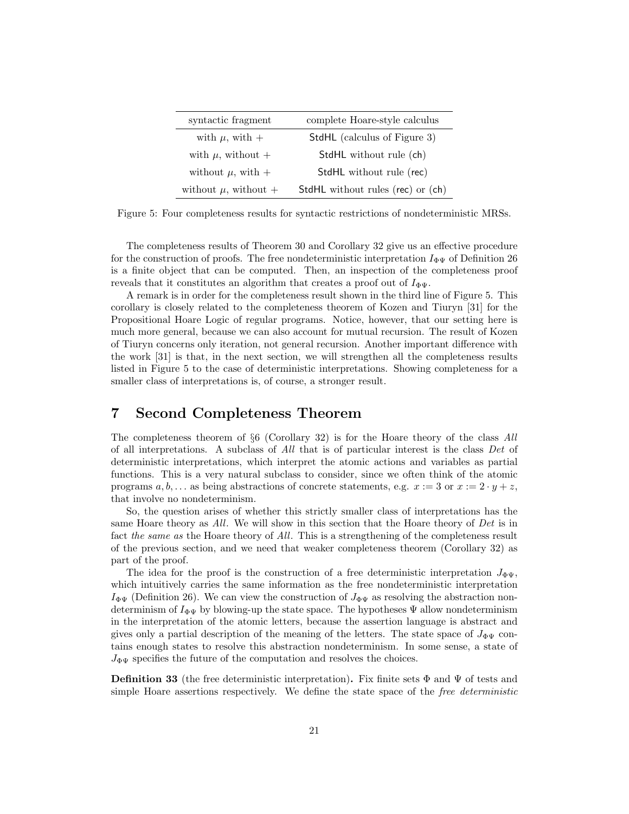| syntactic fragment        | complete Hoare-style calculus       |
|---------------------------|-------------------------------------|
| with $\mu$ , with +       | <b>StdHL</b> (calculus of Figure 3) |
| with $\mu$ , without +    | StdHL without rule (ch)             |
| without $\mu$ , with +    | StdHL without rule (rec)            |
| without $\mu$ , without + | StdHL without rules (rec) or (ch)   |

Figure 5: Four completeness results for syntactic restrictions of nondeterministic MRSs.

The completeness results of Theorem 30 and Corollary 32 give us an effective procedure for the construction of proofs. The free nondeterministic interpretation  $I_{\Phi\Psi}$  of Definition 26 is a finite object that can be computed. Then, an inspection of the completeness proof reveals that it constitutes an algorithm that creates a proof out of  $I_{\Phi\Psi}$ .

A remark is in order for the completeness result shown in the third line of Figure 5. This corollary is closely related to the completeness theorem of Kozen and Tiuryn [31] for the Propositional Hoare Logic of regular programs. Notice, however, that our setting here is much more general, because we can also account for mutual recursion. The result of Kozen of Tiuryn concerns only iteration, not general recursion. Another important difference with the work [31] is that, in the next section, we will strengthen all the completeness results listed in Figure 5 to the case of deterministic interpretations. Showing completeness for a smaller class of interpretations is, of course, a stronger result.

# 7 Second Completeness Theorem

The completeness theorem of §6 (Corollary 32) is for the Hoare theory of the class All of all interpretations. A subclass of All that is of particular interest is the class Det of deterministic interpretations, which interpret the atomic actions and variables as partial functions. This is a very natural subclass to consider, since we often think of the atomic programs  $a, b, \ldots$  as being abstractions of concrete statements, e.g.  $x := 3$  or  $x := 2 \cdot y + z$ , that involve no nondeterminism.

So, the question arises of whether this strictly smaller class of interpretations has the same Hoare theory as All. We will show in this section that the Hoare theory of Det is in fact the same as the Hoare theory of All. This is a strengthening of the completeness result of the previous section, and we need that weaker completeness theorem (Corollary 32) as part of the proof.

The idea for the proof is the construction of a free deterministic interpretation  $J_{\Phi\Psi}$ , which intuitively carries the same information as the free nondeterministic interpretation  $I_{\Phi\Psi}$  (Definition 26). We can view the construction of  $J_{\Phi\Psi}$  as resolving the abstraction nondeterminism of  $I_{\Phi\Psi}$  by blowing-up the state space. The hypotheses  $\Psi$  allow nondeterminism in the interpretation of the atomic letters, because the assertion language is abstract and gives only a partial description of the meaning of the letters. The state space of  $J_{\Phi\Psi}$  contains enough states to resolve this abstraction nondeterminism. In some sense, a state of  $J_{\Phi\Psi}$  specifies the future of the computation and resolves the choices.

**Definition 33** (the free deterministic interpretation). Fix finite sets  $\Phi$  and  $\Psi$  of tests and simple Hoare assertions respectively. We define the state space of the free deterministic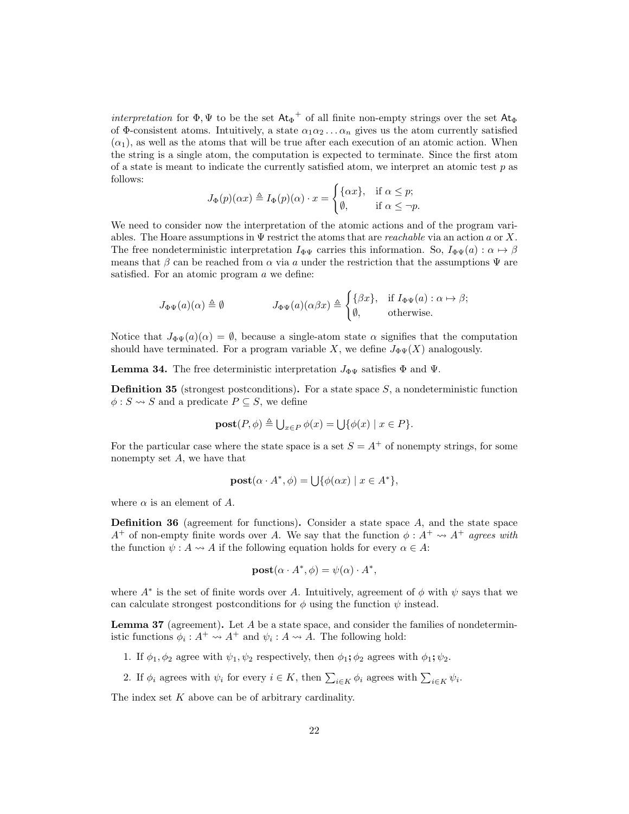*interpretation* for  $\Phi, \Psi$  to be the set  $At_{\Phi}^+$  of all finite non-empty strings over the set  $At_{\Phi}$ of Φ-consistent atoms. Intuitively, a state  $\alpha_1 \alpha_2 \ldots \alpha_n$  gives us the atom currently satisfied  $(\alpha_1)$ , as well as the atoms that will be true after each execution of an atomic action. When the string is a single atom, the computation is expected to terminate. Since the first atom of a state is meant to indicate the currently satisfied atom, we interpret an atomic test  $p$  as follows:

$$
J_{\Phi}(p)(\alpha x) \triangleq I_{\Phi}(p)(\alpha) \cdot x = \begin{cases} {\alpha x}, & \text{if } \alpha \leq p; \\ \emptyset, & \text{if } \alpha \leq \neg p. \end{cases}
$$

We need to consider now the interpretation of the atomic actions and of the program variables. The Hoare assumptions in  $\Psi$  restrict the atoms that are *reachable* via an action a or X. The free nondeterministic interpretation  $I_{\Phi\Psi}$  carries this information. So,  $I_{\Phi\Psi}(a) : \alpha \mapsto \beta$ means that β can be reached from  $\alpha$  via a under the restriction that the assumptions  $\Psi$  are satisfied. For an atomic program a we define:

$$
J_{\Phi\Psi}(a)(\alpha) \triangleq \emptyset \qquad J_{\Phi\Psi}(a)(\alpha\beta x) \triangleq \begin{cases} {\beta x}, & \text{if } I_{\Phi\Psi}(a) : \alpha \mapsto \beta; \\ \emptyset, & \text{otherwise.} \end{cases}
$$

Notice that  $J_{\Phi\Psi}(a)(\alpha) = \emptyset$ , because a single-atom state  $\alpha$  signifies that the computation should have terminated. For a program variable X, we define  $J_{\Phi\Psi}(X)$  analogously.

**Lemma 34.** The free deterministic interpretation  $J_{\Phi\Psi}$  satisfies  $\Phi$  and  $\Psi$ .

**Definition 35** (strongest postconditions). For a state space  $S$ , a nondeterministic function  $\phi: S \rightsquigarrow S$  and a predicate  $P \subseteq S$ , we define

$$
post(P, \phi) \triangleq \bigcup_{x \in P} \phi(x) = \bigcup \{ \phi(x) \mid x \in P \}.
$$

For the particular case where the state space is a set  $S = A^+$  of nonempty strings, for some nonempty set  $A$ , we have that

$$
post(\alpha \cdot A^*, \phi) = \bigcup \{ \phi(\alpha x) \mid x \in A^* \},
$$

where  $\alpha$  is an element of A.

Definition 36 (agreement for functions). Consider a state space A, and the state space  $A^+$  of non-empty finite words over A. We say that the function  $\phi : A^+ \leadsto A^+$  agrees with the function  $\psi : A \leadsto A$  if the following equation holds for every  $\alpha \in A$ :

$$
\mathbf{post}(\alpha \cdot A^*, \phi) = \psi(\alpha) \cdot A^*,
$$

where  $A^*$  is the set of finite words over A. Intuitively, agreement of  $\phi$  with  $\psi$  says that we can calculate strongest postconditions for  $\phi$  using the function  $\psi$  instead.

**Lemma 37** (agreement). Let A be a state space, and consider the families of nondeterministic functions  $\phi_i : A^+ \leadsto A^+$  and  $\psi_i : A \leadsto A$ . The following hold:

- 1. If  $\phi_1, \phi_2$  agree with  $\psi_1, \psi_2$  respectively, then  $\phi_1$ ;  $\phi_2$  agrees with  $\phi_1$ ;  $\psi_2$ .
- 2. If  $\phi_i$  agrees with  $\psi_i$  for every  $i \in K$ , then  $\sum_{i \in K} \phi_i$  agrees with  $\sum_{i \in K} \psi_i$ .

The index set  $K$  above can be of arbitrary cardinality.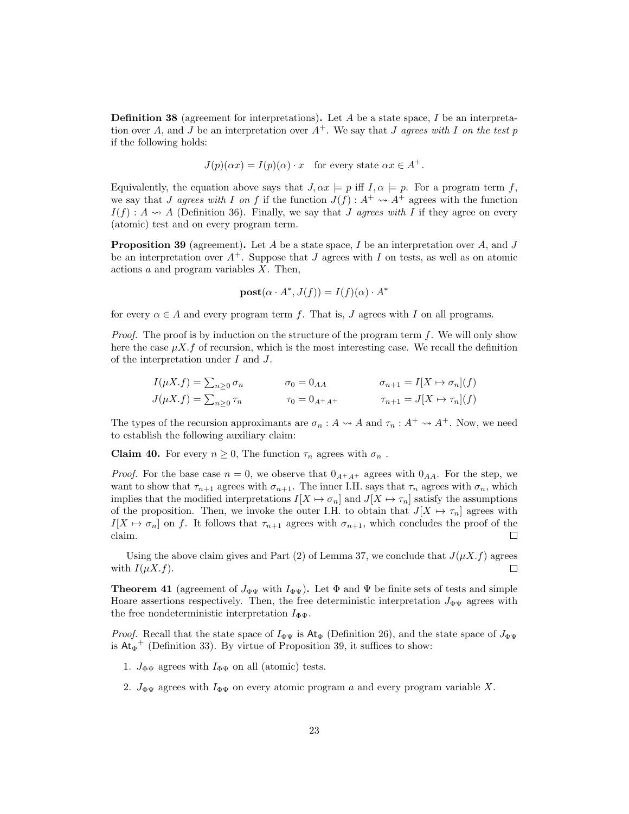**Definition 38** (agreement for interpretations). Let A be a state space, I be an interpretation over A, and J be an interpretation over  $A^+$ . We say that J agrees with I on the test p if the following holds:

$$
J(p)(\alpha x) = I(p)(\alpha) \cdot x \quad \text{for every state } \alpha x \in A^+.
$$

Equivalently, the equation above says that  $J, \alpha x \models p$  iff  $I, \alpha \models p$ . For a program term f, we say that J agrees with I on f if the function  $J(f)$ :  $A^+ \rightsquigarrow A^+$  agrees with the function  $I(f)$ :  $A \rightsquigarrow A$  (Definition 36). Finally, we say that J agrees with I if they agree on every (atomic) test and on every program term.

**Proposition 39** (agreement). Let A be a state space, I be an interpretation over A, and J be an interpretation over  $A^+$ . Suppose that J agrees with I on tests, as well as on atomic actions a and program variables X. Then,

$$
\mathbf{post}(\alpha \cdot A^*, J(f)) = I(f)(\alpha) \cdot A^*
$$

for every  $\alpha \in A$  and every program term f. That is, J agrees with I on all programs.

*Proof.* The proof is by induction on the structure of the program term f. We will only show here the case  $\mu X. f$  of recursion, which is the most interesting case. We recall the definition of the interpretation under I and J.

$$
I(\mu X.f) = \sum_{n\geq 0} \sigma_n
$$
  
\n
$$
J(\mu X.f) = \sum_{n\geq 0} \tau_n
$$
  
\n
$$
\sigma_0 = 0_{AA}
$$
  
\n
$$
\sigma_{n+1} = I[X \mapsto \sigma_n](f)
$$
  
\n
$$
\sigma_{n+1} = I[X \mapsto \sigma_n](f)
$$

The types of the recursion approximants are  $\sigma_n : A \rightarrow A$  and  $\tau_n : A^+ \rightarrow A^+$ . Now, we need to establish the following auxiliary claim:

**Claim 40.** For every  $n \geq 0$ , The function  $\tau_n$  agrees with  $\sigma_n$ .

*Proof.* For the base case  $n = 0$ , we observe that  $0_{A+A+}$  agrees with  $0_{AA}$ . For the step, we want to show that  $\tau_{n+1}$  agrees with  $\sigma_{n+1}$ . The inner I.H. says that  $\tau_n$  agrees with  $\sigma_n$ , which implies that the modified interpretations  $I[X \mapsto \sigma_n]$  and  $J[X \mapsto \tau_n]$  satisfy the assumptions of the proposition. Then, we invoke the outer I.H. to obtain that  $J[X \mapsto \tau_n]$  agrees with  $I[X \mapsto \sigma_n]$  on f. It follows that  $\tau_{n+1}$  agrees with  $\sigma_{n+1}$ , which concludes the proof of the claim. □

Using the above claim gives and Part (2) of Lemma 37, we conclude that  $J(\mu X.f)$  agrees with  $I(\mu X.f)$ .  $\Box$ 

**Theorem 41** (agreement of  $J_{\Phi\Psi}$  with  $I_{\Phi\Psi}$ ). Let  $\Phi$  and  $\Psi$  be finite sets of tests and simple Hoare assertions respectively. Then, the free deterministic interpretation  $J_{\Phi\Psi}$  agrees with the free nondeterministic interpretation  $I_{\Phi\Psi}$ .

*Proof.* Recall that the state space of  $I_{\Phi\Psi}$  is At<sub>Φ</sub> (Definition 26), and the state space of  $J_{\Phi\Psi}$ is  $At_{\Phi}$ <sup>+</sup> (Definition 33). By virtue of Proposition 39, it suffices to show:

- 1.  $J_{\Phi\Psi}$  agrees with  $I_{\Phi\Psi}$  on all (atomic) tests.
- 2.  $J_{\Phi\Psi}$  agrees with  $I_{\Phi\Psi}$  on every atomic program a and every program variable X.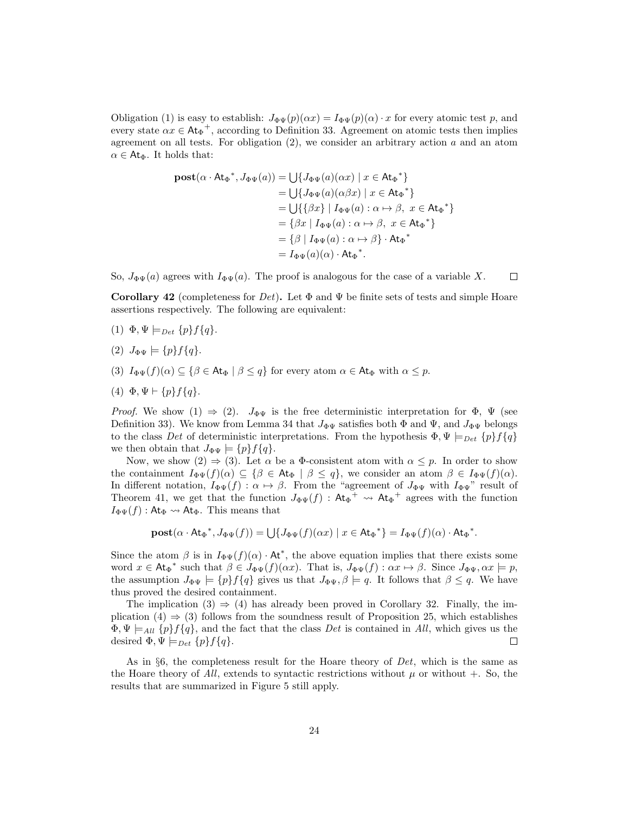Obligation (1) is easy to establish:  $J_{\Phi\Psi}(p)(\alpha x) = I_{\Phi\Psi}(p)(\alpha) \cdot x$  for every atomic test p, and every state  $\alpha x \in At_{\Phi}^+$ , according to Definition 33. Agreement on atomic tests then implies agreement on all tests. For obligation  $(2)$ , we consider an arbitrary action a and an atom  $\alpha \in \mathsf{At}_{\Phi}$ . It holds that:

$$
\begin{aligned}\n\text{post}(\alpha \cdot \text{At}_{\Phi}^*, J_{\Phi\Psi}(a)) &= \bigcup \{ J_{\Phi\Psi}(a)(\alpha x) \mid x \in \text{At}_{\Phi}^* \} \\
&= \bigcup \{ J_{\Phi\Psi}(a)(\alpha \beta x) \mid x \in \text{At}_{\Phi}^* \} \\
&= \bigcup \{ \{\beta x\} \mid I_{\Phi\Psi}(a) : \alpha \mapsto \beta, \ x \in \text{At}_{\Phi}^* \} \\
&= \{\beta x \mid I_{\Phi\Psi}(a) : \alpha \mapsto \beta, \ x \in \text{At}_{\Phi}^* \} \\
&= \{\beta \mid I_{\Phi\Psi}(a) : \alpha \mapsto \beta \} \cdot \text{At}_{\Phi}^* \\
&= I_{\Phi\Psi}(a)(\alpha) \cdot \text{At}_{\Phi}^*.\n\end{aligned}
$$

So,  $J_{\Phi\Psi}(a)$  agrees with  $I_{\Phi\Psi}(a)$ . The proof is analogous for the case of a variable X.  $\Box$ 

**Corollary 42** (completeness for Det). Let  $\Phi$  and  $\Psi$  be finite sets of tests and simple Hoare assertions respectively. The following are equivalent:

- (1)  $\Phi, \Psi \models_{Det} \{p\} f \{q\}.$
- (2)  $J_{\Phi\Psi} = \{p\} f\{q\}.$
- (3)  $I_{\Phi\Psi}(f)(\alpha) \subseteq {\beta \in \mathsf{At}_{\Phi} \mid \beta \leq q}$  for every atom  $\alpha \in \mathsf{At}_{\Phi}$  with  $\alpha \leq p$ .
- (4)  $\Phi, \Psi \vdash \{p\} f \{q\}.$

*Proof.* We show (1)  $\Rightarrow$  (2).  $J_{\Phi\Psi}$  is the free deterministic interpretation for  $\Phi$ ,  $\Psi$  (see Definition 33). We know from Lemma 34 that  $J_{\Phi\Psi}$  satisfies both  $\Phi$  and  $\Psi$ , and  $J_{\Phi\Psi}$  belongs to the class Det of deterministic interpretations. From the hypothesis  $\Phi, \Psi \models_{Det} \{p\} \{q\}$ we then obtain that  $J_{\Phi\Psi} \models \{p\} f \{q\}.$ 

Now, we show (2)  $\Rightarrow$  (3). Let  $\alpha$  be a  $\Phi$ -consistent atom with  $\alpha \leq p$ . In order to show the containment  $I_{\Phi\Psi}(f)(\alpha) \subseteq {\beta \in \mathsf{At}_{\Phi} \mid \beta \leq q}$ , we consider an atom  $\beta \in I_{\Phi\Psi}(f)(\alpha)$ . In different notation,  $I_{\Phi\Psi}(f) : \alpha \mapsto \beta$ . From the "agreement of  $J_{\Phi\Psi}$  with  $I_{\Phi\Psi}$ " result of Theorem 41, we get that the function  $J_{\Phi\Psi}(f)$  :  $\mathsf{At}_{\Phi}^{\dagger} \rightsquigarrow \mathsf{At}_{\Phi}^{\dagger}$  agrees with the function  $I_{\Phi\Psi}(f)$ : At<sub> $\Phi$ </sub>  $\leadsto$  At<sub> $\Phi$ </sub>. This means that

$$
\mathbf{post}(\alpha \cdot \mathsf{At}_{\Phi}^*, J_{\Phi\Psi}(f)) = \bigcup \{ J_{\Phi\Psi}(f)(\alpha x) \mid x \in \mathsf{At}_{\Phi}^* \} = I_{\Phi\Psi}(f)(\alpha) \cdot \mathsf{At}_{\Phi}^*.
$$

Since the atom  $\beta$  is in  $I_{\Phi\Psi}(f)(\alpha) \cdot At^*$ , the above equation implies that there exists some word  $x \in \mathsf{At}_{\Phi}^*$  such that  $\beta \in J_{\Phi\Psi}(f)(\alpha x)$ . That is,  $J_{\Phi\Psi}(f) : \alpha x \mapsto \beta$ . Since  $J_{\Phi\Psi}, \alpha x \models p$ , the assumption  $J_{\Phi\Psi} \models \{p\} f \{q\}$  gives us that  $J_{\Phi\Psi}$ ,  $\beta \models q$ . It follows that  $\beta \leq q$ . We have thus proved the desired containment.

The implication (3)  $\Rightarrow$  (4) has already been proved in Corollary 32. Finally, the implication (4)  $\Rightarrow$  (3) follows from the soundness result of Proposition 25, which establishes  $\Phi, \Psi \models_{All} \{p\} f\{q\}$ , and the fact that the class Det is contained in All, which gives us the desired  $\Phi, \Psi \models_{Det} \{p\} f \{q\}.$ П

As in  $\S6$ , the completeness result for the Hoare theory of  $Det$ , which is the same as the Hoare theory of All, extends to syntactic restrictions without  $\mu$  or without  $+$ . So, the results that are summarized in Figure 5 still apply.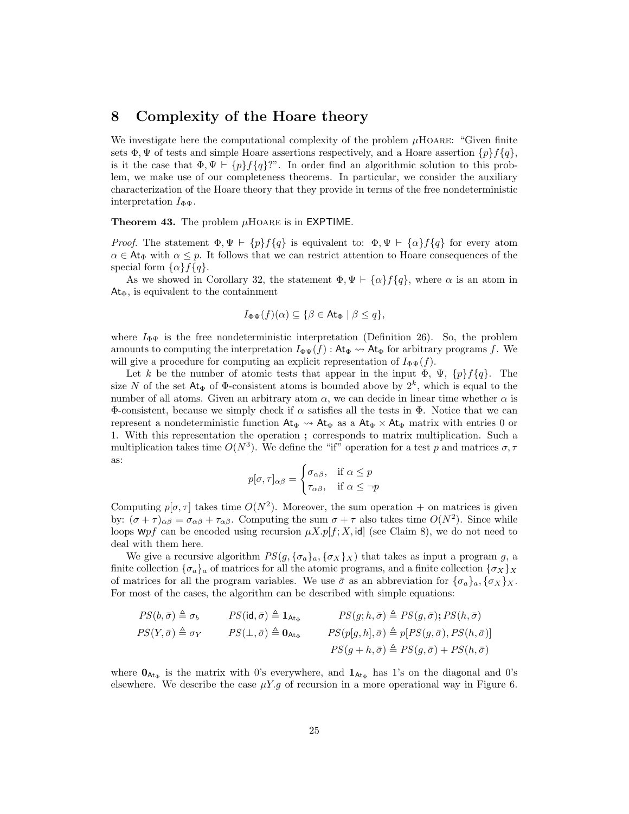# 8 Complexity of the Hoare theory

We investigate here the computational complexity of the problem  $\mu$ HOARE: "Given finite sets  $\Phi$ ,  $\Psi$  of tests and simple Hoare assertions respectively, and a Hoare assertion  $\{p\}f\{q\}$ , is it the case that  $\Phi, \Psi \vdash \{p\}f\{q\}$ ?". In order find an algorithmic solution to this problem, we make use of our completeness theorems. In particular, we consider the auxiliary characterization of the Hoare theory that they provide in terms of the free nondeterministic interpretation  $I_{\Phi\Psi}$ .

**Theorem 43.** The problem  $\mu$ HOARE is in **EXPTIME**.

*Proof.* The statement  $\Phi, \Psi \vdash \{p\} f\{q\}$  is equivalent to:  $\Phi, \Psi \vdash \{\alpha\} f\{q\}$  for every atom  $\alpha \in \mathsf{At}_{\Phi}$  with  $\alpha \leq p$ . It follows that we can restrict attention to Hoare consequences of the special form  $\{\alpha\}f\{q\}.$ 

As we showed in Corollary 32, the statement  $\Phi, \Psi \vdash {\alpha} f{q}$ , where  $\alpha$  is an atom in  $At_{\Phi}$ , is equivalent to the containment

$$
I_{\Phi\Psi}(f)(\alpha) \subseteq \{\beta \in \mathsf{At}_{\Phi} \mid \beta \leq q\},\
$$

where  $I_{\Phi\Psi}$  is the free nondeterministic interpretation (Definition 26). So, the problem amounts to computing the interpretation  $I_{\Phi\Psi}(f)$ :  $\mathsf{At}_{\Phi} \rightsquigarrow \mathsf{At}_{\Phi}$  for arbitrary programs f. We will give a procedure for computing an explicit representation of  $I_{\Phi\Psi}(f)$ .

Let k be the number of atomic tests that appear in the input  $\Phi$ ,  $\Psi$ ,  $\{p\}f\{q\}$ . The size N of the set  $At_{\Phi}$  of  $\Phi$ -consistent atoms is bounded above by  $2^k$ , which is equal to the number of all atoms. Given an arbitrary atom  $\alpha$ , we can decide in linear time whether  $\alpha$  is  $\Phi$ -consistent, because we simply check if  $\alpha$  satisfies all the tests in  $\Phi$ . Notice that we can represent a nondeterministic function  $At_{\Phi} \leadsto At_{\Phi}$  as a  $At_{\Phi} \times At_{\Phi}$  matrix with entries 0 or 1. With this representation the operation ; corresponds to matrix multiplication. Such a multiplication takes time  $O(N^3)$ . We define the "if" operation for a test p and matrices  $\sigma$ ,  $\tau$ as:

$$
p[\sigma, \tau]_{\alpha\beta} = \begin{cases} \sigma_{\alpha\beta}, & \text{if } \alpha \le p \\ \tau_{\alpha\beta}, & \text{if } \alpha \leq \neg p \end{cases}
$$

Computing  $p[\sigma, \tau]$  takes time  $O(N^2)$ . Moreover, the sum operation + on matrices is given by:  $(\sigma + \tau)_{\alpha\beta} = \sigma_{\alpha\beta} + \tau_{\alpha\beta}$ . Computing the sum  $\sigma + \tau$  also takes time  $O(N^2)$ . Since while loops  $Wpf$  can be encoded using recursion  $\mu X.p[f; X, id]$  (see Claim 8), we do not need to deal with them here.

We give a recursive algorithm  $PS(g, {\{\sigma_a\}_a, {\{\sigma_X\}_X\}})$  that takes as input a program g, a finite collection  $\{\sigma_a\}_a$  of matrices for all the atomic programs, and a finite collection  $\{\sigma_X\}_X$ of matrices for all the program variables. We use  $\bar{\sigma}$  as an abbreviation for  $\{\sigma_a\}_a$ ,  $\{\sigma_X\}_X$ . For most of the cases, the algorithm can be described with simple equations:

$$
PS(b, \bar{\sigma}) \triangleq \sigma_b
$$
  
\n
$$
PS(\bar{b}, \bar{\sigma}) \triangleq \sigma_Y
$$
  
\n
$$
PS(\bar{a}, \bar{\sigma}) \triangleq \mathbf{1}_{\text{At}_{\Phi}}
$$
  
\n
$$
PS(g; h, \bar{\sigma}) \triangleq PS(g, \bar{\sigma}); PS(h, \bar{\sigma})
$$
  
\n
$$
PS(p[g, h], \bar{\sigma}) \triangleq p[PS(g, \bar{\sigma}), PS(h, \bar{\sigma})]
$$
  
\n
$$
PS(g + h, \bar{\sigma}) \triangleq PS(g, \bar{\sigma}) + PS(h, \bar{\sigma})
$$

where  $0_{At_{\Phi}}$  is the matrix with 0's everywhere, and  $1_{At_{\Phi}}$  has 1's on the diagonal and 0's elsewhere. We describe the case  $\mu Y$ .g of recursion in a more operational way in Figure 6.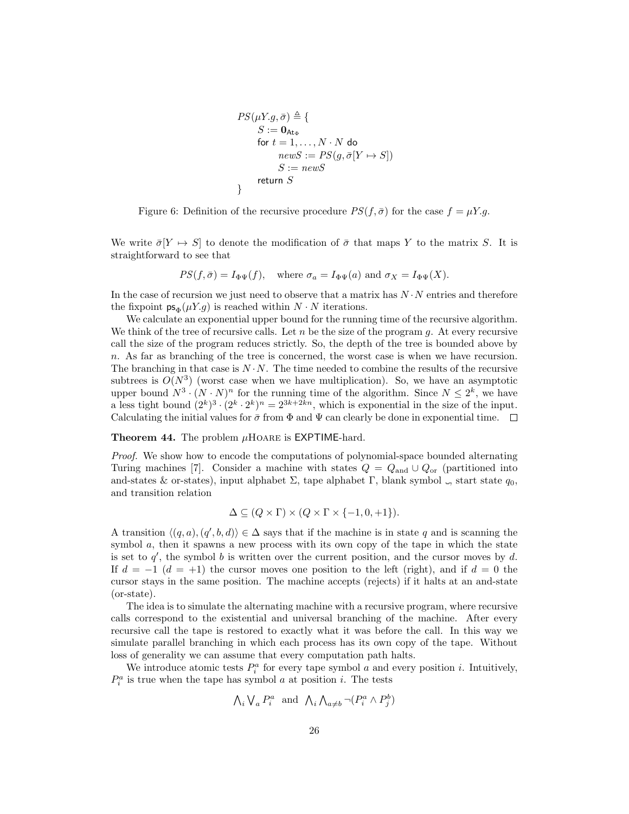$$
PS(\mu Y. g, \bar{\sigma}) \equiv \{ \nS := \mathbf{0}_{\mathsf{At}_{\Phi}} \nfor \ t = 1, ..., N \cdot N \text{ do} \nnewS := PS(g, \bar{\sigma}[Y \mapsto S]) \nS := newS \nreturn S
$$

 $P(X, Y, \tau)$ 

Figure 6: Definition of the recursive procedure  $PS(f, \bar{\sigma})$  for the case  $f = \mu Y.g.$ 

We write  $\bar{\sigma}[Y \mapsto S]$  to denote the modification of  $\bar{\sigma}$  that maps Y to the matrix S. It is straightforward to see that

$$
PS(f, \bar{\sigma}) = I_{\Phi\Psi}(f), \quad \text{where } \sigma_a = I_{\Phi\Psi}(a) \text{ and } \sigma_X = I_{\Phi\Psi}(X).
$$

In the case of recursion we just need to observe that a matrix has  $N \cdot N$  entries and therefore the fixpoint  $ps_{\Phi}(\mu Y.g)$  is reached within  $N \cdot N$  iterations.

We calculate an exponential upper bound for the running time of the recursive algorithm. We think of the tree of recursive calls. Let  $n$  be the size of the program  $q$ . At every recursive call the size of the program reduces strictly. So, the depth of the tree is bounded above by n. As far as branching of the tree is concerned, the worst case is when we have recursion. The branching in that case is  $N \cdot N$ . The time needed to combine the results of the recursive subtrees is  $O(N^3)$  (worst case when we have multiplication). So, we have an asymptotic upper bound  $N^3 \cdot (N \cdot N)^n$  for the running time of the algorithm. Since  $N \leq 2^k$ , we have a less tight bound  $(2^k)^3 \cdot (2^k \cdot 2^k)^n = 2^{3k+2kn}$ , which is exponential in the size of the input. Calculating the initial values for  $\bar{\sigma}$  from  $\Phi$  and  $\Psi$  can clearly be done in exponential time.  $\Box$ 

**Theorem 44.** The problem  $\mu$ HOARE is EXPTIME-hard.

Proof. We show how to encode the computations of polynomial-space bounded alternating Turing machines [7]. Consider a machine with states  $Q = Q_{\text{and}} \cup Q_{\text{or}}$  (partitioned into and-states & or-states), input alphabet  $\Sigma$ , tape alphabet  $\Gamma$ , blank symbol  $\Box$ , start state  $q_0$ , and transition relation

$$
\Delta \subseteq (Q \times \Gamma) \times (Q \times \Gamma \times \{-1, 0, +1\}).
$$

A transition  $\langle (q, a), (q', b, d) \rangle \in \Delta$  says that if the machine is in state q and is scanning the symbol a, then it spawns a new process with its own copy of the tape in which the state is set to  $q'$ , the symbol b is written over the current position, and the cursor moves by d. If  $d = -1$   $(d = +1)$  the cursor moves one position to the left (right), and if  $d = 0$  the cursor stays in the same position. The machine accepts (rejects) if it halts at an and-state (or-state).

The idea is to simulate the alternating machine with a recursive program, where recursive calls correspond to the existential and universal branching of the machine. After every recursive call the tape is restored to exactly what it was before the call. In this way we simulate parallel branching in which each process has its own copy of the tape. Without loss of generality we can assume that every computation path halts.

We introduce atomic tests  $P_i^a$  for every tape symbol a and every position i. Intuitively,  $P_i^a$  is true when the tape has symbol  $a$  at position  $i$ . The tests

$$
\bigwedge_i \bigvee_a P_i^a
$$
 and  $\bigwedge_i \bigwedge_{a \neq b} \neg (P_i^a \wedge P_j^b)$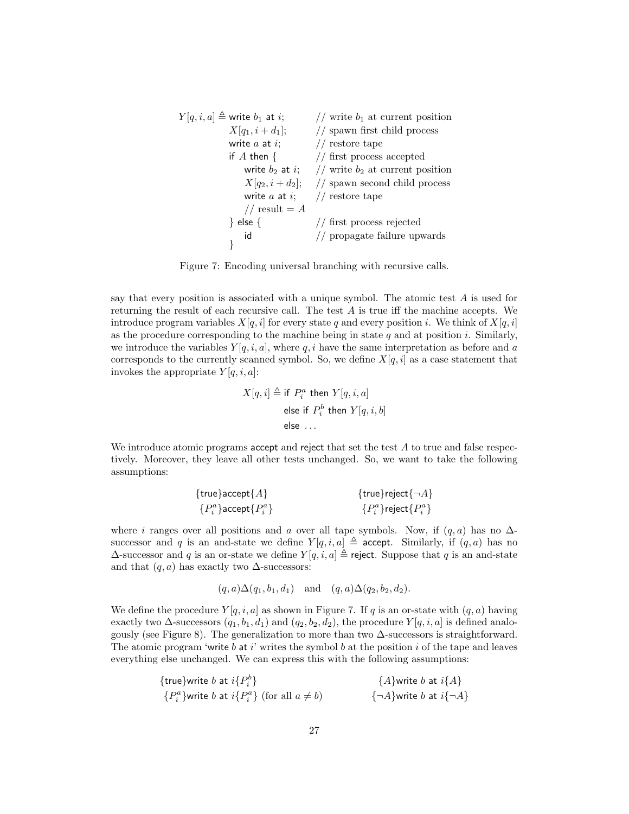```
Y[q, i, a] \triangleq write b_1 at i; // write b_1 at current position
          X[q_1, i + d_1]; // spawn first child process
          write a at i; \qquad // restore tape
          if A then \{ // first process accepted
              write b_2 at i; // write b_2 at current position
              X[q_2, i + d_2]; // spawn second child process
              write a at i; // restore tape
              // result = A} else { // first process rejected
              id // propagate failure upwards
           }
```
Figure 7: Encoding universal branching with recursive calls.

say that every position is associated with a unique symbol. The atomic test  $A$  is used for returning the result of each recursive call. The test  $A$  is true iff the machine accepts. We introduce program variables  $X[q, i]$  for every state q and every position i. We think of  $X[q, i]$ as the procedure corresponding to the machine being in state  $q$  and at position i. Similarly, we introduce the variables  $Y[q, i, a]$ , where q, i have the same interpretation as before and a corresponds to the currently scanned symbol. So, we define  $X[q, i]$  as a case statement that invokes the appropriate  $Y[q, i, a]$ :

$$
X[q, i] \triangleq \text{if } P_i^a \text{ then } Y[q, i, a]
$$
  
else if  $P_i^b$  then  $Y[q, i, b]$   
else ...

We introduce atomic programs accept and reject that set the test A to true and false respectively. Moreover, they leave all other tests unchanged. So, we want to take the following assumptions:

| $\{true\}$ accept $\{A\}$  | $\{true\}$ reject $\{\neg A\}$ |
|----------------------------|--------------------------------|
| ${P_i^a}$ accept ${P_i^a}$ | ${P_i^a}$ reject ${P_i^a}$     |

where i ranges over all positions and a over all tape symbols. Now, if  $(q, a)$  has no  $\Delta$ successor and q is an and-state we define  $Y[q, i, a] \triangleq$  accept. Similarly, if  $(q, a)$  has no  $\Delta$ -successor and q is an or-state we define  $Y[q, i, a] \triangleq$  reject. Suppose that q is an and-state and that  $(q, a)$  has exactly two  $\Delta$ -successors:

$$
(q, a) \Delta(q_1, b_1, d_1)
$$
 and  $(q, a) \Delta(q_2, b_2, d_2)$ .

We define the procedure  $Y[q, i, a]$  as shown in Figure 7. If q is an or-state with  $(q, a)$  having exactly two  $\Delta$ -successors  $(q_1, b_1, d_1)$  and  $(q_2, b_2, d_2)$ , the procedure  $Y[q, i, a]$  is defined analogously (see Figure 8). The generalization to more than two  $\Delta$ -successors is straightforward. The atomic program 'write b at i' writes the symbol b at the position i of the tape and leaves everything else unchanged. We can express this with the following assumptions:

$$
{\begin{aligned}\n\{\text{true}\} \text{write } b \text{ at } i \{P_i^b\} &\{\{A\} \text{write } b \text{ at } i \{A\} \\\n\{P_i^a\} \text{write } b \text{ at } i \{P_i^a\} &\text{ (for all } a \neq b) \\\n\end{aligned}}\n\quad\n\begin{aligned}\n\{A\} \text{write } b \text{ at } i \{A\} \\
\{\neg A\} \text{write } b \text{ at } i \{\neg A\} \end{aligned}
$$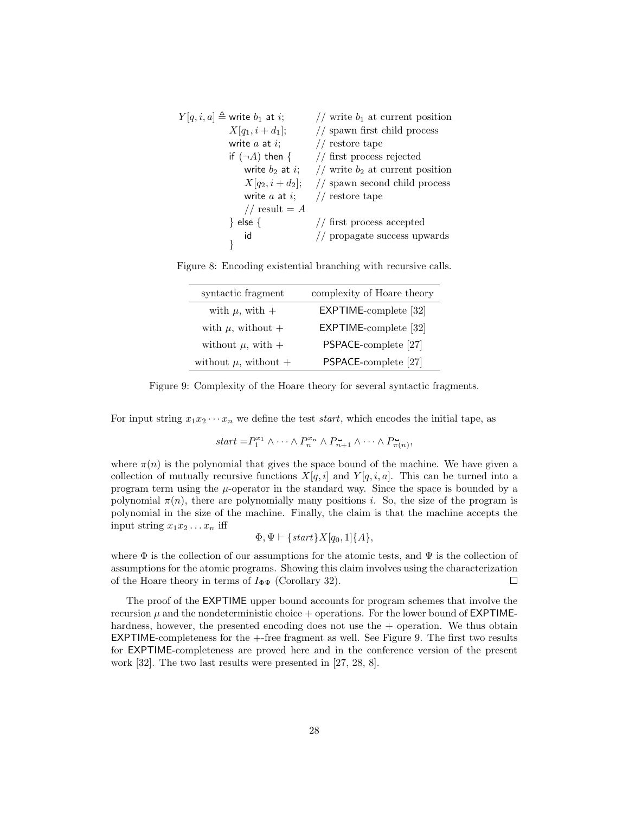| $Y[q, i, a] \triangleq$ write $b_1$ at i; | // write $b_1$ at current position                      |
|-------------------------------------------|---------------------------------------------------------|
| $X[q_1, i + d_1];$                        | // spawn first child process                            |
| write $a$ at $i$ ;                        | // restore tape                                         |
|                                           | if $(\neg A)$ then $\{\qquad\}/$ first process rejected |
|                                           | write $b_2$ at i; // write $b_2$ at current position    |
| $X[q_2, i + d_2];$                        | $//$ spawn second child process                         |
|                                           | write <i>a</i> at <i>i</i> ; // restore tape            |
| // result = $A$                           |                                                         |
| $\}$ else $\{$                            | $//$ first process accepted                             |
| id                                        | // propagate success upwards                            |
|                                           |                                                         |

Figure 8: Encoding existential branching with recursive calls.

| syntactic fragment        | complexity of Hoare theory |
|---------------------------|----------------------------|
| with $\mu$ , with +       | EXPTIME-complete [32]      |
| with $\mu$ , without +    | EXPTIME-complete [32]      |
| without $\mu$ , with +    | PSPACE-complete [27]       |
| without $\mu$ , without + | PSPACE-complete [27]       |

Figure 9: Complexity of the Hoare theory for several syntactic fragments.

For input string  $x_1x_2 \cdots x_n$  we define the test start, which encodes the initial tape, as

$$
start = P_1^{x_1} \wedge \cdots \wedge P_n^{x_n} \wedge P_{n+1} \wedge \cdots \wedge P_{\pi(n)},
$$

where  $\pi(n)$  is the polynomial that gives the space bound of the machine. We have given a collection of mutually recursive functions  $X[q, i]$  and  $Y[q, i, a]$ . This can be turned into a program term using the  $\mu$ -operator in the standard way. Since the space is bounded by a polynomial  $\pi(n)$ , there are polynomially many positions i. So, the size of the program is polynomial in the size of the machine. Finally, the claim is that the machine accepts the input string  $x_1x_2 \ldots x_n$  iff

$$
\Phi, \Psi \vdash \{start\} X[q_0, 1]\{A\},\
$$

where  $\Phi$  is the collection of our assumptions for the atomic tests, and  $\Psi$  is the collection of assumptions for the atomic programs. Showing this claim involves using the characterization of the Hoare theory in terms of  $I_{\Phi\Psi}$  (Corollary 32).  $\Box$ 

The proof of the EXPTIME upper bound accounts for program schemes that involve the recursion  $\mu$  and the nondeterministic choice + operations. For the lower bound of **EXPTIME**hardness, however, the presented encoding does not use the  $+$  operation. We thus obtain EXPTIME-completeness for the +-free fragment as well. See Figure 9. The first two results for EXPTIME-completeness are proved here and in the conference version of the present work [32]. The two last results were presented in [27, 28, 8].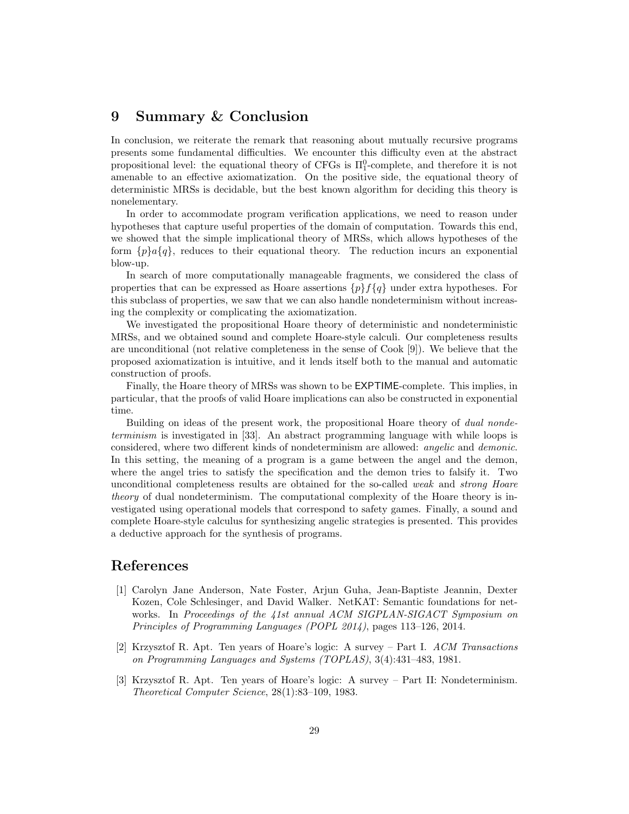# 9 Summary & Conclusion

In conclusion, we reiterate the remark that reasoning about mutually recursive programs presents some fundamental difficulties. We encounter this difficulty even at the abstract propositional level: the equational theory of CFGs is  $\Pi_1^0$ -complete, and therefore it is not amenable to an effective axiomatization. On the positive side, the equational theory of deterministic MRSs is decidable, but the best known algorithm for deciding this theory is nonelementary.

In order to accommodate program verification applications, we need to reason under hypotheses that capture useful properties of the domain of computation. Towards this end, we showed that the simple implicational theory of MRSs, which allows hypotheses of the form  $\{p\}a\{q\}$ , reduces to their equational theory. The reduction incurs an exponential blow-up.

In search of more computationally manageable fragments, we considered the class of properties that can be expressed as Hoare assertions  $\{p\}f\{q\}$  under extra hypotheses. For this subclass of properties, we saw that we can also handle nondeterminism without increasing the complexity or complicating the axiomatization.

We investigated the propositional Hoare theory of deterministic and nondeterministic MRSs, and we obtained sound and complete Hoare-style calculi. Our completeness results are unconditional (not relative completeness in the sense of Cook [9]). We believe that the proposed axiomatization is intuitive, and it lends itself both to the manual and automatic construction of proofs.

Finally, the Hoare theory of MRSs was shown to be EXPTIME-complete. This implies, in particular, that the proofs of valid Hoare implications can also be constructed in exponential time.

Building on ideas of the present work, the propositional Hoare theory of *dual nonde*terminism is investigated in [33]. An abstract programming language with while loops is considered, where two different kinds of nondeterminism are allowed: angelic and demonic. In this setting, the meaning of a program is a game between the angel and the demon, where the angel tries to satisfy the specification and the demon tries to falsify it. Two unconditional completeness results are obtained for the so-called *weak* and *strong Hoare* theory of dual nondeterminism. The computational complexity of the Hoare theory is investigated using operational models that correspond to safety games. Finally, a sound and complete Hoare-style calculus for synthesizing angelic strategies is presented. This provides a deductive approach for the synthesis of programs.

## References

- [1] Carolyn Jane Anderson, Nate Foster, Arjun Guha, Jean-Baptiste Jeannin, Dexter Kozen, Cole Schlesinger, and David Walker. NetKAT: Semantic foundations for networks. In Proceedings of the 41st annual ACM SIGPLAN-SIGACT Symposium on Principles of Programming Languages (POPL 2014), pages 113–126, 2014.
- [2] Krzysztof R. Apt. Ten years of Hoare's logic: A survey Part I. ACM Transactions on Programming Languages and Systems (TOPLAS), 3(4):431–483, 1981.
- [3] Krzysztof R. Apt. Ten years of Hoare's logic: A survey Part II: Nondeterminism. Theoretical Computer Science, 28(1):83–109, 1983.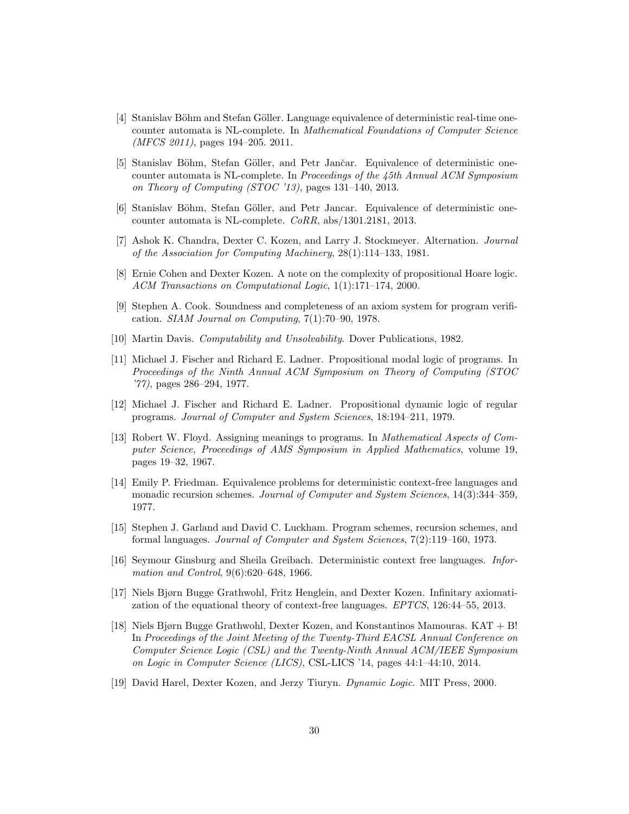- [4] Stanislav Böhm and Stefan Göller. Language equivalence of deterministic real-time onecounter automata is NL-complete. In Mathematical Foundations of Computer Science (MFCS 2011), pages 194–205. 2011.
- [5] Stanislav Böhm, Stefan Göller, and Petr Jančar. Equivalence of deterministic onecounter automata is NL-complete. In Proceedings of the 45th Annual ACM Symposium on Theory of Computing (STOC '13), pages 131–140, 2013.
- [6] Stanislav Böhm, Stefan Göller, and Petr Jancar. Equivalence of deterministic onecounter automata is NL-complete. CoRR, abs/1301.2181, 2013.
- [7] Ashok K. Chandra, Dexter C. Kozen, and Larry J. Stockmeyer. Alternation. Journal of the Association for Computing Machinery, 28(1):114–133, 1981.
- [8] Ernie Cohen and Dexter Kozen. A note on the complexity of propositional Hoare logic. ACM Transactions on Computational Logic, 1(1):171–174, 2000.
- [9] Stephen A. Cook. Soundness and completeness of an axiom system for program verification. SIAM Journal on Computing, 7(1):70–90, 1978.
- [10] Martin Davis. *Computability and Unsolvability*. Dover Publications, 1982.
- [11] Michael J. Fischer and Richard E. Ladner. Propositional modal logic of programs. In Proceedings of the Ninth Annual ACM Symposium on Theory of Computing (STOC '77), pages 286–294, 1977.
- [12] Michael J. Fischer and Richard E. Ladner. Propositional dynamic logic of regular programs. Journal of Computer and System Sciences, 18:194–211, 1979.
- [13] Robert W. Floyd. Assigning meanings to programs. In Mathematical Aspects of Computer Science, Proceedings of AMS Symposium in Applied Mathematics, volume 19, pages 19–32, 1967.
- [14] Emily P. Friedman. Equivalence problems for deterministic context-free languages and monadic recursion schemes. Journal of Computer and System Sciences, 14(3):344–359, 1977.
- [15] Stephen J. Garland and David C. Luckham. Program schemes, recursion schemes, and formal languages. Journal of Computer and System Sciences, 7(2):119–160, 1973.
- [16] Seymour Ginsburg and Sheila Greibach. Deterministic context free languages. Information and Control, 9(6):620–648, 1966.
- [17] Niels Bjørn Bugge Grathwohl, Fritz Henglein, and Dexter Kozen. Infinitary axiomatization of the equational theory of context-free languages. EPTCS, 126:44–55, 2013.
- [18] Niels Bjørn Bugge Grathwohl, Dexter Kozen, and Konstantinos Mamouras. KAT + B! In Proceedings of the Joint Meeting of the Twenty-Third EACSL Annual Conference on Computer Science Logic (CSL) and the Twenty-Ninth Annual ACM/IEEE Symposium on Logic in Computer Science (LICS), CSL-LICS '14, pages 44:1–44:10, 2014.
- [19] David Harel, Dexter Kozen, and Jerzy Tiuryn. Dynamic Logic. MIT Press, 2000.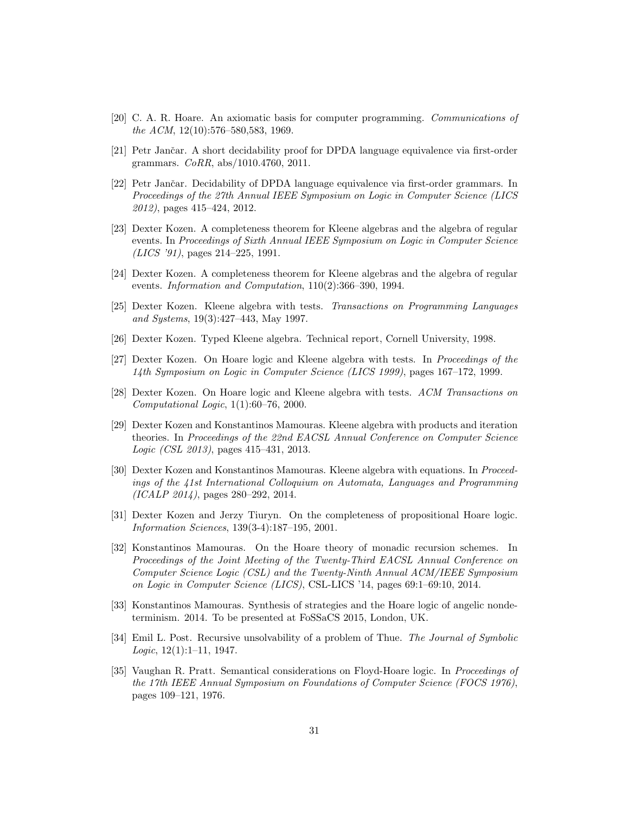- [20] C. A. R. Hoare. An axiomatic basis for computer programming. Communications of the ACM, 12(10):576–580,583, 1969.
- [21] Petr Jančar. A short decidability proof for DPDA language equivalence via first-order grammars. CoRR, abs/1010.4760, 2011.
- [22] Petr Janˇcar. Decidability of DPDA language equivalence via first-order grammars. In Proceedings of the 27th Annual IEEE Symposium on Logic in Computer Science (LICS 2012), pages 415–424, 2012.
- [23] Dexter Kozen. A completeness theorem for Kleene algebras and the algebra of regular events. In Proceedings of Sixth Annual IEEE Symposium on Logic in Computer Science (LICS '91), pages 214–225, 1991.
- [24] Dexter Kozen. A completeness theorem for Kleene algebras and the algebra of regular events. Information and Computation, 110(2):366–390, 1994.
- [25] Dexter Kozen. Kleene algebra with tests. Transactions on Programming Languages and Systems, 19(3):427–443, May 1997.
- [26] Dexter Kozen. Typed Kleene algebra. Technical report, Cornell University, 1998.
- [27] Dexter Kozen. On Hoare logic and Kleene algebra with tests. In Proceedings of the 14th Symposium on Logic in Computer Science (LICS 1999), pages 167–172, 1999.
- [28] Dexter Kozen. On Hoare logic and Kleene algebra with tests. ACM Transactions on Computational Logic, 1(1):60–76, 2000.
- [29] Dexter Kozen and Konstantinos Mamouras. Kleene algebra with products and iteration theories. In Proceedings of the 22nd EACSL Annual Conference on Computer Science Logic (CSL 2013), pages 415–431, 2013.
- [30] Dexter Kozen and Konstantinos Mamouras. Kleene algebra with equations. In Proceedings of the 41st International Colloquium on Automata, Languages and Programming (ICALP 2014), pages 280–292, 2014.
- [31] Dexter Kozen and Jerzy Tiuryn. On the completeness of propositional Hoare logic. Information Sciences, 139(3-4):187–195, 2001.
- [32] Konstantinos Mamouras. On the Hoare theory of monadic recursion schemes. In Proceedings of the Joint Meeting of the Twenty-Third EACSL Annual Conference on Computer Science Logic (CSL) and the Twenty-Ninth Annual ACM/IEEE Symposium on Logic in Computer Science (LICS), CSL-LICS '14, pages 69:1–69:10, 2014.
- [33] Konstantinos Mamouras. Synthesis of strategies and the Hoare logic of angelic nondeterminism. 2014. To be presented at FoSSaCS 2015, London, UK.
- [34] Emil L. Post. Recursive unsolvability of a problem of Thue. The Journal of Symbolic Logic,  $12(1):1-11$ , 1947.
- [35] Vaughan R. Pratt. Semantical considerations on Floyd-Hoare logic. In *Proceedings of* the 17th IEEE Annual Symposium on Foundations of Computer Science (FOCS 1976), pages 109–121, 1976.